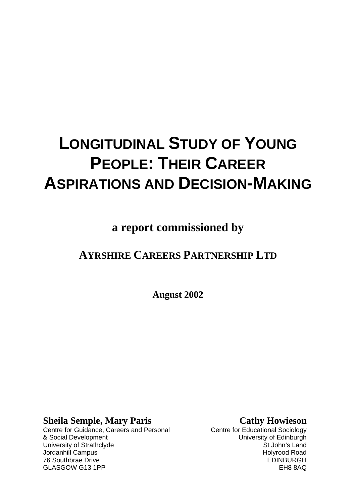# **LONGITUDINAL STUDY OF YOUNG PEOPLE: THEIR CAREER ASPIRATIONS AND DECISION-MAKING**

**a report commissioned by** 

## **AYRSHIRE CAREERS PARTNERSHIP LTD**

**August 2002** 

**Sheila Semple, Mary Paris Cathy Howieson**<br> **Centre for Guidance, Careers and Personal**<br> **Centre for Educational Sociology** 

Centre for Guidance, Careers and Personal & Social Development University of Edinburgh University of Strathclyde Strathclyck Christian Strathcline Strathcline Strathcline Strathcline Strathcline St Jordanhill Campus **Holyrood Road** 76 Southbrae Drive EDINBURGH GLASGOW G13 1PP **EH8 8AQ**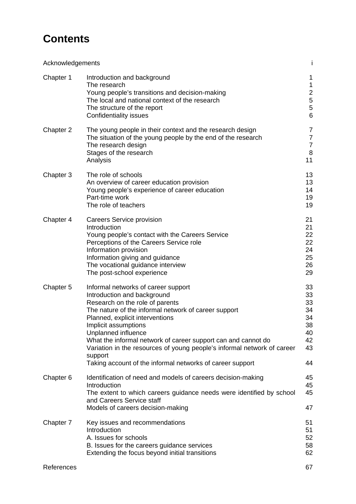## **Contents**

| Acknowledgements |                                                                                                                                                                                                                                                                                                                                                                                                                                                                     |                                                                                     |
|------------------|---------------------------------------------------------------------------------------------------------------------------------------------------------------------------------------------------------------------------------------------------------------------------------------------------------------------------------------------------------------------------------------------------------------------------------------------------------------------|-------------------------------------------------------------------------------------|
| Chapter 1        | Introduction and background<br>The research<br>Young people's transitions and decision-making<br>The local and national context of the research<br>The structure of the report<br>Confidentiality issues                                                                                                                                                                                                                                                            | 1<br>$\mathbf{1}$<br>$\overline{\mathbf{c}}$<br>$\mathbf 5$<br>5<br>$6\phantom{1}6$ |
| Chapter 2        | The young people in their context and the research design<br>The situation of the young people by the end of the research<br>The research design<br>Stages of the research<br>Analysis                                                                                                                                                                                                                                                                              | $\overline{7}$<br>$\overline{7}$<br>$\overline{7}$<br>8<br>11                       |
| Chapter 3        | The role of schools<br>An overview of career education provision<br>Young people's experience of career education<br>Part-time work<br>The role of teachers                                                                                                                                                                                                                                                                                                         | 13<br>13<br>14<br>19<br>19                                                          |
| Chapter 4        | <b>Careers Service provision</b><br>Introduction<br>Young people's contact with the Careers Service<br>Perceptions of the Careers Service role<br>Information provision<br>Information giving and guidance<br>The vocational guidance interview<br>The post-school experience                                                                                                                                                                                       | 21<br>21<br>22<br>22<br>24<br>25<br>26<br>29                                        |
| Chapter 5        | Informal networks of career support<br>Introduction and background<br>Research on the role of parents<br>The nature of the informal network of career support<br>Planned, explicit interventions<br>Implicit assumptions<br>Unplanned influence<br>What the informal network of career support can and cannot do<br>Variation in the resources of young people's informal network of career<br>support<br>Taking account of the informal networks of career support | 33<br>33<br>33<br>34<br>34<br>38<br>40<br>42<br>43<br>44                            |
| Chapter 6        | Identification of need and models of careers decision-making<br>Introduction<br>The extent to which careers guidance needs were identified by school<br>and Careers Service staff                                                                                                                                                                                                                                                                                   | 45<br>45<br>45                                                                      |
| Chapter 7        | Models of careers decision-making<br>Key issues and recommendations<br>Introduction<br>A. Issues for schools<br>B. Issues for the careers guidance services<br>Extending the focus beyond initial transitions                                                                                                                                                                                                                                                       | 47<br>51<br>51<br>52<br>58<br>62                                                    |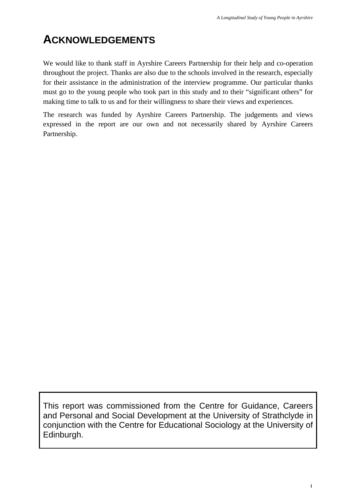## **ACKNOWLEDGEMENTS**

We would like to thank staff in Ayrshire Careers Partnership for their help and co-operation throughout the project. Thanks are also due to the schools involved in the research, especially for their assistance in the administration of the interview programme. Our particular thanks must go to the young people who took part in this study and to their "significant others" for making time to talk to us and for their willingness to share their views and experiences.

The research was funded by Ayrshire Careers Partnership. The judgements and views expressed in the report are our own and not necessarily shared by Ayrshire Careers Partnership.

This report was commissioned from the Centre for Guidance, Careers and Personal and Social Development at the University of Strathclyde in conjunction with the Centre for Educational Sociology at the University of Edinburgh.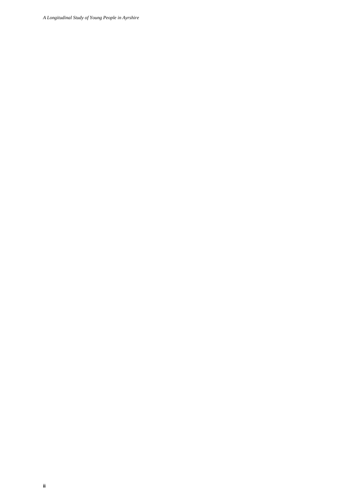*A Longitudinal Study of Young People in Ayrshire*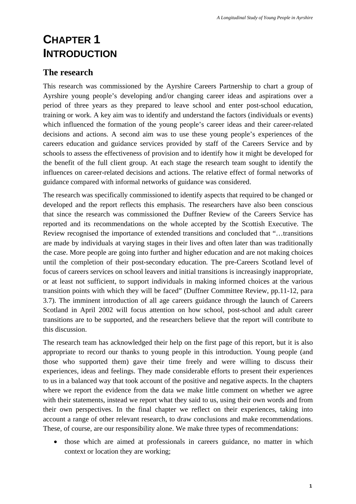## **CHAPTER 1 INTRODUCTION**

## **The research**

This research was commissioned by the Ayrshire Careers Partnership to chart a group of Ayrshire young people's developing and/or changing career ideas and aspirations over a period of three years as they prepared to leave school and enter post-school education, training or work. A key aim was to identify and understand the factors (individuals or events) which influenced the formation of the young people's career ideas and their career-related decisions and actions. A second aim was to use these young people's experiences of the careers education and guidance services provided by staff of the Careers Service and by schools to assess the effectiveness of provision and to identify how it might be developed for the benefit of the full client group. At each stage the research team sought to identify the influences on career-related decisions and actions. The relative effect of formal networks of guidance compared with informal networks of guidance was considered.

The research was specifically commissioned to identify aspects that required to be changed or developed and the report reflects this emphasis. The researchers have also been conscious that since the research was commissioned the Duffner Review of the Careers Service has reported and its recommendations on the whole accepted by the Scottish Executive. The Review recognised the importance of extended transitions and concluded that "…transitions are made by individuals at varying stages in their lives and often later than was traditionally the case. More people are going into further and higher education and are not making choices until the completion of their post-secondary education. The pre-Careers Scotland level of focus of careers services on school leavers and initial transitions is increasingly inappropriate, or at least not sufficient, to support individuals in making informed choices at the various transition points with which they will be faced" (Duffner Committee Review, pp.11-12, para 3.7). The imminent introduction of all age careers guidance through the launch of Careers Scotland in April 2002 will focus attention on how school, post-school and adult career transitions are to be supported, and the researchers believe that the report will contribute to this discussion.

The research team has acknowledged their help on the first page of this report, but it is also appropriate to record our thanks to young people in this introduction. Young people (and those who supported them) gave their time freely and were willing to discuss their experiences, ideas and feelings. They made considerable efforts to present their experiences to us in a balanced way that took account of the positive and negative aspects. In the chapters where we report the evidence from the data we make little comment on whether we agree with their statements, instead we report what they said to us, using their own words and from their own perspectives. In the final chapter we reflect on their experiences, taking into account a range of other relevant research, to draw conclusions and make recommendations. These, of course, are our responsibility alone. We make three types of recommendations:

• those which are aimed at professionals in careers guidance, no matter in which context or location they are working;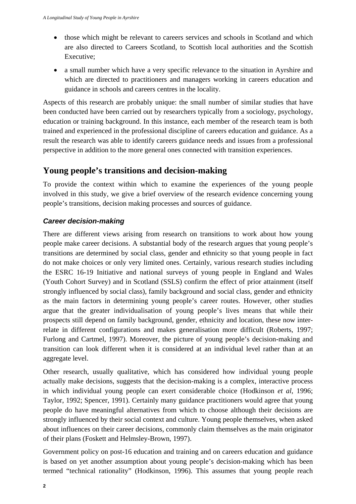- those which might be relevant to careers services and schools in Scotland and which are also directed to Careers Scotland, to Scottish local authorities and the Scottish Executive;
- a small number which have a very specific relevance to the situation in Ayrshire and which are directed to practitioners and managers working in careers education and guidance in schools and careers centres in the locality.

Aspects of this research are probably unique: the small number of similar studies that have been conducted have been carried out by researchers typically from a sociology, psychology, education or training background. In this instance, each member of the research team is both trained and experienced in the professional discipline of careers education and guidance. As a result the research was able to identify careers guidance needs and issues from a professional perspective in addition to the more general ones connected with transition experiences.

## **Young people's transitions and decision-making**

To provide the context within which to examine the experiences of the young people involved in this study, we give a brief overview of the research evidence concerning young people's transitions, decision making processes and sources of guidance.

## *Career decision-making*

There are different views arising from research on transitions to work about how young people make career decisions. A substantial body of the research argues that young people's transitions are determined by social class, gender and ethnicity so that young people in fact do not make choices or only very limited ones. Certainly, various research studies including the ESRC 16-19 Initiative and national surveys of young people in England and Wales (Youth Cohort Survey) and in Scotland (SSLS) confirm the effect of prior attainment (itself strongly influenced by social class), family background and social class, gender and ethnicity as the main factors in determining young people's career routes. However, other studies argue that the greater individualisation of young people's lives means that while their prospects still depend on family background, gender, ethnicity and location, these now interrelate in different configurations and makes generalisation more difficult (Roberts, 1997; Furlong and Cartmel, 1997). Moreover, the picture of young people's decision-making and transition can look different when it is considered at an individual level rather than at an aggregate level.

Other research, usually qualitative, which has considered how individual young people actually make decisions, suggests that the decision-making is a complex, interactive process in which individual young people can exert considerable choice (Hodkinson *et al*, 1996; Taylor, 1992; Spencer, 1991). Certainly many guidance practitioners would agree that young people do have meaningful alternatives from which to choose although their decisions are strongly influenced by their social context and culture. Young people themselves, when asked about influences on their career decisions, commonly claim themselves as the main originator of their plans (Foskett and Helmsley-Brown, 1997).

Government policy on post-16 education and training and on careers education and guidance is based on yet another assumption about young people's decision-making which has been termed "technical rationality" (Hodkinson, 1996). This assumes that young people reach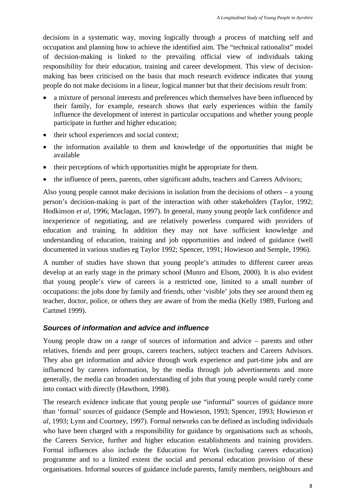decisions in a systematic way, moving logically through a process of matching self and occupation and planning how to achieve the identified aim. The "technical rationalist" model of decision-making is linked to the prevailing official view of individuals taking responsibility for their education, training and career development. This view of decisionmaking has been criticised on the basis that much research evidence indicates that young people do not make decisions in a linear, logical manner but that their decisions result from:

- a mixture of personal interests and preferences which themselves have been influenced by their family, for example, research shows that early experiences within the family influence the development of interest in particular occupations and whether young people participate in further and higher education;
- their school experiences and social context;
- the information available to them and knowledge of the opportunities that might be available
- their perceptions of which opportunities might be appropriate for them.
- the influence of peers, parents, other significant adults, teachers and Careers Advisors;

Also young people cannot make decisions in isolation from the decisions of others – a young person's decision-making is part of the interaction with other stakeholders (Taylor, 1992; Hodkinson *et al*, 1996; Maclagan, 1997). In general, many young people lack confidence and inexperience of negotiating, and are relatively powerless compared with providers of education and training. In addition they may not have sufficient knowledge and understanding of education, training and job opportunities and indeed of guidance (well documented in various studies eg Taylor 1992; Spencer, 1991; Howieson and Semple, 1996).

A number of studies have shown that young people's attitudes to different career areas develop at an early stage in the primary school (Munro and Elsom, 2000). It is also evident that young people's view of careers is a restricted one, limited to a small number of occupations: the jobs done by family and friends, other 'visible' jobs they see around them eg teacher, doctor, police, or others they are aware of from the media (Kelly 1989, Furlong and Cartmel 1999).

#### *Sources of information and advice and influence*

Young people draw on a range of sources of information and advice – parents and other relatives, friends and peer groups, careers teachers, subject teachers and Careers Advisors. They also get information and advice through work experience and part-time jobs and are influenced by careers information, by the media through job advertisements and more generally, the media can broaden understanding of jobs that young people would rarely come into contact with directly (Hawthorn, 1998).

The research evidence indicate that young people use "informal" sources of guidance more than 'formal' sources of guidance (Semple and Howieson, 1993; Spencer, 1993; Howieson *et al*, 1993; Lynn and Courtney, 1997). Formal networks can be defined as including individuals who have been charged with a responsibility for guidance by organisations such as schools, the Careers Service, further and higher education establishments and training providers. Formal influences also include the Education for Work (including careers education) programme and to a limited extent the social and personal education provision of these organisations. Informal sources of guidance include parents, family members, neighbours and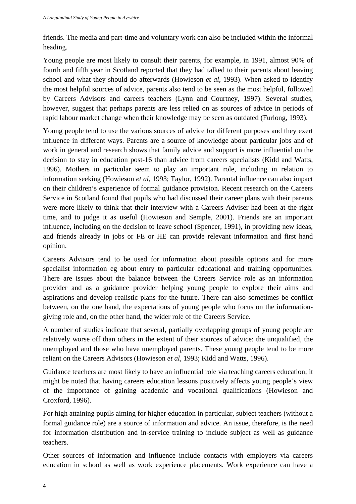friends. The media and part-time and voluntary work can also be included within the informal heading.

Young people are most likely to consult their parents, for example, in 1991, almost 90% of fourth and fifth year in Scotland reported that they had talked to their parents about leaving school and what they should do afterwards (Howieson *et al*, 1993). When asked to identify the most helpful sources of advice, parents also tend to be seen as the most helpful, followed by Careers Advisors and careers teachers (Lynn and Courtney, 1997). Several studies, however, suggest that perhaps parents are less relied on as sources of advice in periods of rapid labour market change when their knowledge may be seen as outdated (Furlong, 1993).

Young people tend to use the various sources of advice for different purposes and they exert influence in different ways. Parents are a source of knowledge about particular jobs and of work in general and research shows that family advice and support is more influential on the decision to stay in education post-16 than advice from careers specialists (Kidd and Watts, 1996). Mothers in particular seem to play an important role, including in relation to information seeking (Howieson *et al*, 1993; Taylor, 1992). Parental influence can also impact on their children's experience of formal guidance provision. Recent research on the Careers Service in Scotland found that pupils who had discussed their career plans with their parents were more likely to think that their interview with a Careers Adviser had been at the right time, and to judge it as useful (Howieson and Semple, 2001). Friends are an important influence, including on the decision to leave school (Spencer, 1991), in providing new ideas, and friends already in jobs or FE or HE can provide relevant information and first hand opinion.

Careers Advisors tend to be used for information about possible options and for more specialist information eg about entry to particular educational and training opportunities. There are issues about the balance between the Careers Service role as an information provider and as a guidance provider helping young people to explore their aims and aspirations and develop realistic plans for the future. There can also sometimes be conflict between, on the one hand, the expectations of young people who focus on the informationgiving role and, on the other hand, the wider role of the Careers Service.

A number of studies indicate that several, partially overlapping groups of young people are relatively worse off than others in the extent of their sources of advice: the unqualified, the unemployed and those who have unemployed parents. These young people tend to be more reliant on the Careers Advisors (Howieson *et al*, 1993; Kidd and Watts, 1996).

Guidance teachers are most likely to have an influential role via teaching careers education; it might be noted that having careers education lessons positively affects young people's view of the importance of gaining academic and vocational qualifications (Howieson and Croxford, 1996).

For high attaining pupils aiming for higher education in particular, subject teachers (without a formal guidance role) are a source of information and advice. An issue, therefore, is the need for information distribution and in-service training to include subject as well as guidance teachers.

Other sources of information and influence include contacts with employers via careers education in school as well as work experience placements. Work experience can have a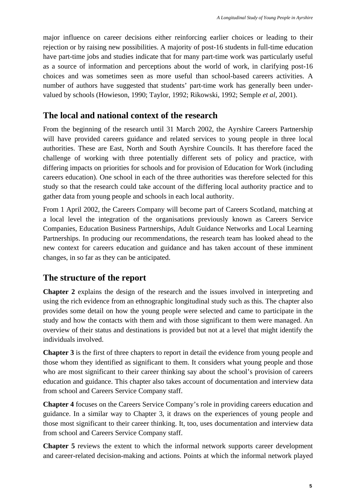major influence on career decisions either reinforcing earlier choices or leading to their rejection or by raising new possibilities. A majority of post-16 students in full-time education have part-time jobs and studies indicate that for many part-time work was particularly useful as a source of information and perceptions about the world of work, in clarifying post-16 choices and was sometimes seen as more useful than school-based careers activities. A number of authors have suggested that students' part-time work has generally been undervalued by schools (Howieson, 1990; Taylor, 1992; Rikowski, 1992; Semple *et al*, 2001).

## **The local and national context of the research**

From the beginning of the research until 31 March 2002, the Ayrshire Careers Partnership will have provided careers guidance and related services to young people in three local authorities. These are East, North and South Ayrshire Councils. It has therefore faced the challenge of working with three potentially different sets of policy and practice, with differing impacts on priorities for schools and for provision of Education for Work (including careers education). One school in each of the three authorities was therefore selected for this study so that the research could take account of the differing local authority practice and to gather data from young people and schools in each local authority.

From 1 April 2002, the Careers Company will become part of Careers Scotland, matching at a local level the integration of the organisations previously known as Careers Service Companies, Education Business Partnerships, Adult Guidance Networks and Local Learning Partnerships. In producing our recommendations, the research team has looked ahead to the new context for careers education and guidance and has taken account of these imminent changes, in so far as they can be anticipated.

## **The structure of the report**

**Chapter 2** explains the design of the research and the issues involved in interpreting and using the rich evidence from an ethnographic longitudinal study such as this. The chapter also provides some detail on how the young people were selected and came to participate in the study and how the contacts with them and with those significant to them were managed. An overview of their status and destinations is provided but not at a level that might identify the individuals involved.

**Chapter 3** is the first of three chapters to report in detail the evidence from young people and those whom they identified as significant to them. It considers what young people and those who are most significant to their career thinking say about the school's provision of careers education and guidance. This chapter also takes account of documentation and interview data from school and Careers Service Company staff.

**Chapter 4** focuses on the Careers Service Company's role in providing careers education and guidance. In a similar way to Chapter 3, it draws on the experiences of young people and those most significant to their career thinking. It, too, uses documentation and interview data from school and Careers Service Company staff.

**Chapter 5** reviews the extent to which the informal network supports career development and career-related decision-making and actions. Points at which the informal network played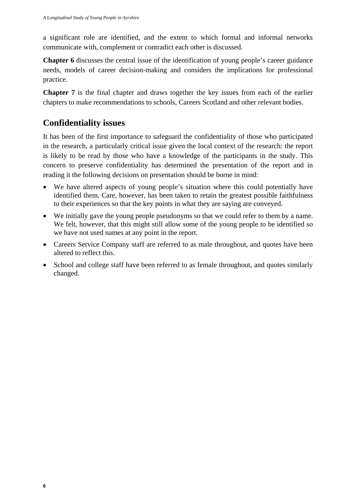a significant role are identified, and the extent to which formal and informal networks communicate with, complement or contradict each other is discussed.

**Chapter 6** discusses the central issue of the identification of young people's career guidance needs, models of career decision-making and considers the implications for professional practice.

**Chapter 7** is the final chapter and draws together the key issues from each of the earlier chapters to make recommendations to schools, Careers Scotland and other relevant bodies.

## **Confidentiality issues**

It has been of the first importance to safeguard the confidentiality of those who participated in the research, a particularly critical issue given the local context of the research: the report is likely to be read by those who have a knowledge of the participants in the study. This concern to preserve confidentiality has determined the presentation of the report and in reading it the following decisions on presentation should be borne in mind:

- We have altered aspects of young people's situation where this could potentially have identified them. Care, however, has been taken to retain the greatest possible faithfulness to their experiences so that the key points in what they are saying are conveyed.
- We initially gave the young people pseudonyms so that we could refer to them by a name. We felt, however, that this might still allow some of the young people to be identified so we have not used names at any point in the report.
- Careers Service Company staff are referred to as male throughout, and quotes have been altered to reflect this.
- School and college staff have been referred to as female throughout, and quotes similarly changed.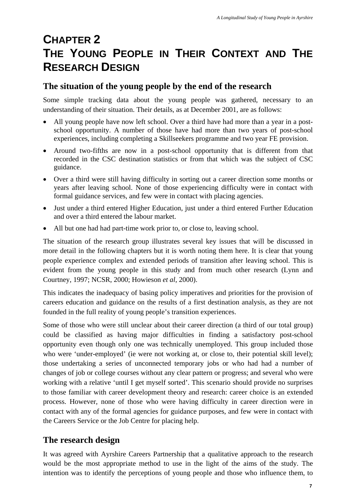## **CHAPTER 2 THE YOUNG PEOPLE IN THEIR CONTEXT AND THE RESEARCH DESIGN**

### **The situation of the young people by the end of the research**

Some simple tracking data about the young people was gathered, necessary to an understanding of their situation. Their details, as at December 2001, are as follows:

- All young people have now left school. Over a third have had more than a year in a postschool opportunity. A number of those have had more than two years of post-school experiences, including completing a Skillseekers programme and two year FE provision.
- Around two-fifths are now in a post-school opportunity that is different from that recorded in the CSC destination statistics or from that which was the subject of CSC guidance.
- Over a third were still having difficulty in sorting out a career direction some months or years after leaving school. None of those experiencing difficulty were in contact with formal guidance services, and few were in contact with placing agencies.
- Just under a third entered Higher Education, just under a third entered Further Education and over a third entered the labour market.
- All but one had had part-time work prior to, or close to, leaving school.

The situation of the research group illustrates several key issues that will be discussed in more detail in the following chapters but it is worth noting them here. It is clear that young people experience complex and extended periods of transition after leaving school. This is evident from the young people in this study and from much other research (Lynn and Courtney, 1997; NCSR, 2000; Howieson *et al*, 2000).

This indicates the inadequacy of basing policy imperatives and priorities for the provision of careers education and guidance on the results of a first destination analysis, as they are not founded in the full reality of young people's transition experiences.

Some of those who were still unclear about their career direction (a third of our total group) could be classified as having major difficulties in finding a satisfactory post-school opportunity even though only one was technically unemployed. This group included those who were 'under-employed' (ie were not working at, or close to, their potential skill level); those undertaking a series of unconnected temporary jobs or who had had a number of changes of job or college courses without any clear pattern or progress; and several who were working with a relative 'until I get myself sorted'. This scenario should provide no surprises to those familiar with career development theory and research: career choice is an extended process. However, none of those who were having difficulty in career direction were in contact with any of the formal agencies for guidance purposes, and few were in contact with the Careers Service or the Job Centre for placing help.

## **The research design**

It was agreed with Ayrshire Careers Partnership that a qualitative approach to the research would be the most appropriate method to use in the light of the aims of the study. The intention was to identify the perceptions of young people and those who influence them, to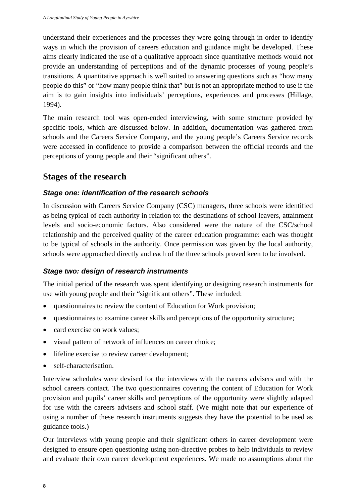understand their experiences and the processes they were going through in order to identify ways in which the provision of careers education and guidance might be developed. These aims clearly indicated the use of a qualitative approach since quantitative methods would not provide an understanding of perceptions and of the dynamic processes of young people's transitions. A quantitative approach is well suited to answering questions such as "how many people do this" or "how many people think that" but is not an appropriate method to use if the aim is to gain insights into individuals' perceptions, experiences and processes (Hillage, 1994).

The main research tool was open-ended interviewing, with some structure provided by specific tools, which are discussed below. In addition, documentation was gathered from schools and the Careers Service Company, and the young people's Careers Service records were accessed in confidence to provide a comparison between the official records and the perceptions of young people and their "significant others".

## **Stages of the research**

#### *Stage one: identification of the research schools*

In discussion with Careers Service Company (CSC) managers, three schools were identified as being typical of each authority in relation to: the destinations of school leavers, attainment levels and socio-economic factors. Also considered were the nature of the CSC/school relationship and the perceived quality of the career education programme: each was thought to be typical of schools in the authority. Once permission was given by the local authority, schools were approached directly and each of the three schools proved keen to be involved.

#### *Stage two: design of research instruments*

The initial period of the research was spent identifying or designing research instruments for use with young people and their "significant others". These included:

- questionnaires to review the content of Education for Work provision;
- questionnaires to examine career skills and perceptions of the opportunity structure;
- card exercise on work values;
- visual pattern of network of influences on career choice;
- lifeline exercise to review career development;
- self-characterisation.

Interview schedules were devised for the interviews with the careers advisers and with the school careers contact. The two questionnaires covering the content of Education for Work provision and pupils' career skills and perceptions of the opportunity were slightly adapted for use with the careers advisers and school staff. (We might note that our experience of using a number of these research instruments suggests they have the potential to be used as guidance tools.)

Our interviews with young people and their significant others in career development were designed to ensure open questioning using non-directive probes to help individuals to review and evaluate their own career development experiences. We made no assumptions about the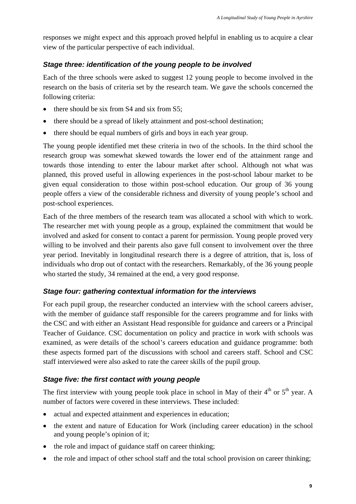responses we might expect and this approach proved helpful in enabling us to acquire a clear view of the particular perspective of each individual.

#### *Stage three: identification of the young people to be involved*

Each of the three schools were asked to suggest 12 young people to become involved in the research on the basis of criteria set by the research team. We gave the schools concerned the following criteria:

- there should be six from S4 and six from S5:
- there should be a spread of likely attainment and post-school destination;
- there should be equal numbers of girls and boys in each year group.

The young people identified met these criteria in two of the schools. In the third school the research group was somewhat skewed towards the lower end of the attainment range and towards those intending to enter the labour market after school. Although not what was planned, this proved useful in allowing experiences in the post-school labour market to be given equal consideration to those within post-school education. Our group of 36 young people offers a view of the considerable richness and diversity of young people's school and post-school experiences.

Each of the three members of the research team was allocated a school with which to work. The researcher met with young people as a group, explained the commitment that would be involved and asked for consent to contact a parent for permission. Young people proved very willing to be involved and their parents also gave full consent to involvement over the three year period. Inevitably in longitudinal research there is a degree of attrition, that is, loss of individuals who drop out of contact with the researchers. Remarkably, of the 36 young people who started the study, 34 remained at the end, a very good response.

#### *Stage four: gathering contextual information for the interviews*

For each pupil group, the researcher conducted an interview with the school careers adviser, with the member of guidance staff responsible for the careers programme and for links with the CSC and with either an Assistant Head responsible for guidance and careers or a Principal Teacher of Guidance. CSC documentation on policy and practice in work with schools was examined, as were details of the school's careers education and guidance programme: both these aspects formed part of the discussions with school and careers staff. School and CSC staff interviewed were also asked to rate the career skills of the pupil group.

#### *Stage five: the first contact with young people*

The first interview with young people took place in school in May of their  $4<sup>th</sup>$  or  $5<sup>th</sup>$  year. A number of factors were covered in these interviews. These included:

- actual and expected attainment and experiences in education;
- the extent and nature of Education for Work (including career education) in the school and young people's opinion of it;
- the role and impact of guidance staff on career thinking;
- the role and impact of other school staff and the total school provision on career thinking;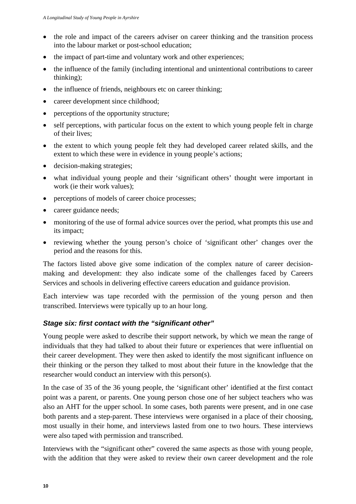- the role and impact of the careers adviser on career thinking and the transition process into the labour market or post-school education;
- the impact of part-time and voluntary work and other experiences;
- the influence of the family (including intentional and unintentional contributions to career thinking);
- the influence of friends, neighbours etc on career thinking:
- career development since childhood;
- perceptions of the opportunity structure;
- self perceptions, with particular focus on the extent to which young people felt in charge of their lives;
- the extent to which young people felt they had developed career related skills, and the extent to which these were in evidence in young people's actions;
- decision-making strategies;
- what individual young people and their 'significant others' thought were important in work (ie their work values);
- perceptions of models of career choice processes;
- career guidance needs;
- monitoring of the use of formal advice sources over the period, what prompts this use and its impact;
- reviewing whether the young person's choice of 'significant other' changes over the period and the reasons for this.

The factors listed above give some indication of the complex nature of career decisionmaking and development: they also indicate some of the challenges faced by Careers Services and schools in delivering effective careers education and guidance provision.

Each interview was tape recorded with the permission of the young person and then transcribed. Interviews were typically up to an hour long.

#### *Stage six: first contact with the "significant other"*

Young people were asked to describe their support network, by which we mean the range of individuals that they had talked to about their future or experiences that were influential on their career development. They were then asked to identify the most significant influence on their thinking or the person they talked to most about their future in the knowledge that the researcher would conduct an interview with this person(s).

In the case of 35 of the 36 young people, the 'significant other' identified at the first contact point was a parent, or parents. One young person chose one of her subject teachers who was also an AHT for the upper school. In some cases, both parents were present, and in one case both parents and a step-parent. These interviews were organised in a place of their choosing, most usually in their home, and interviews lasted from one to two hours. These interviews were also taped with permission and transcribed.

Interviews with the "significant other" covered the same aspects as those with young people, with the addition that they were asked to review their own career development and the role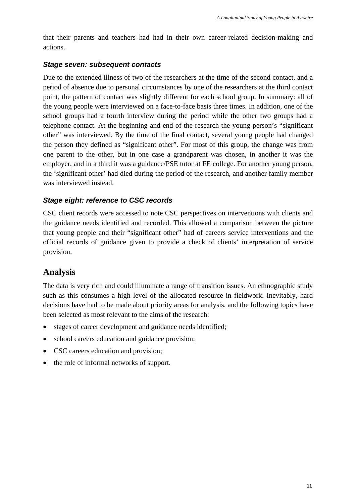that their parents and teachers had had in their own career-related decision-making and actions.

#### *Stage seven: subsequent contacts*

Due to the extended illness of two of the researchers at the time of the second contact, and a period of absence due to personal circumstances by one of the researchers at the third contact point, the pattern of contact was slightly different for each school group. In summary: all of the young people were interviewed on a face-to-face basis three times. In addition, one of the school groups had a fourth interview during the period while the other two groups had a telephone contact. At the beginning and end of the research the young person's "significant other" was interviewed. By the time of the final contact, several young people had changed the person they defined as "significant other". For most of this group, the change was from one parent to the other, but in one case a grandparent was chosen, in another it was the employer, and in a third it was a guidance/PSE tutor at FE college. For another young person, the 'significant other' had died during the period of the research, and another family member was interviewed instead.

#### *Stage eight: reference to CSC records*

CSC client records were accessed to note CSC perspectives on interventions with clients and the guidance needs identified and recorded. This allowed a comparison between the picture that young people and their "significant other" had of careers service interventions and the official records of guidance given to provide a check of clients' interpretation of service provision.

## **Analysis**

The data is very rich and could illuminate a range of transition issues. An ethnographic study such as this consumes a high level of the allocated resource in fieldwork. Inevitably, hard decisions have had to be made about priority areas for analysis, and the following topics have been selected as most relevant to the aims of the research:

- stages of career development and guidance needs identified;
- school careers education and guidance provision:
- CSC careers education and provision;
- the role of informal networks of support.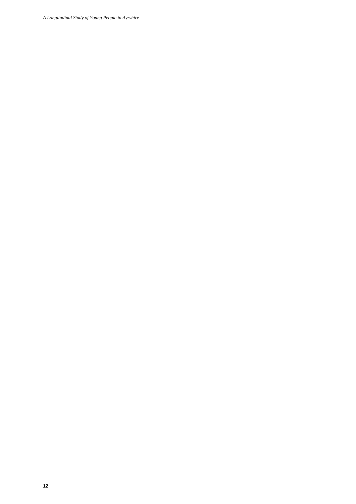*A Longitudinal Study of Young People in Ayrshire*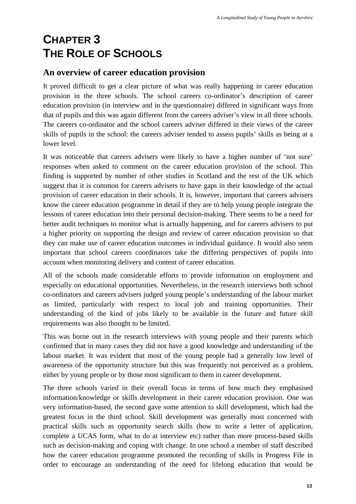## **CHAPTER 3 THE ROLE OF SCHOOLS**

## **An overview of career education provision**

It proved difficult to get a clear picture of what was really happening in career education provision in the three schools. The school careers co-ordinator's description of career education provision (in interview and in the questionnaire) differed in significant ways from that of pupils and this was again different from the careers adviser's view in all three schools. The careers co-ordinator and the school careers adviser differed in their views of the career skills of pupils in the school: the careers adviser tended to assess pupils' skills as being at a lower level.

It was noticeable that careers advisers were likely to have a higher number of 'not sure' responses when asked to comment on the career education provision of the school. This finding is supported by number of other studies in Scotland and the rest of the UK which suggest that it is common for careers advisers to have gaps in their knowledge of the actual provision of career education in their schools. It is, however, important that careers advisers know the career education programme in detail if they are to help young people integrate the lessons of career education into their personal decision-making. There seems to be a need for better audit techniques to monitor what is actually happening, and for careers advisers to put a higher priority on supporting the design and review of career education provision so that they can make use of career education outcomes in individual guidance. It would also seem important that school careers coordinators take the differing perspectives of pupils into account when monitoring delivery and content of career education.

All of the schools made considerable efforts to provide information on employment and especially on educational opportunities. Nevertheless, in the research interviews both school co-ordinators and careers advisers judged young people's understanding of the labour market as limited, particularly with respect to local job and training opportunities. Their understanding of the kind of jobs likely to be available in the future and future skill requirements was also thought to be limited.

This was borne out in the research interviews with young people and their parents which confirmed that in many cases they did not have a good knowledge and understanding of the labour market. It was evident that most of the young people had a generally low level of awareness of the opportunity structure but this was frequently not perceived as a problem, either by young people or by those most significant to them in career development.

The three schools varied in their overall focus in terms of how much they emphasised information/knowledge or skills development in their career education provision. One was very information-based, the second gave some attention to skill development, which had the greatest focus in the third school. Skill development was generally most concerned with practical skills such as opportunity search skills (how to write a letter of application, complete a UCAS form, what to do at interview etc) rather than more process-based skills such as decision-making and coping with change. In one school a member of staff described how the career education programme promoted the recording of skills in Progress File in order to encourage an understanding of the need for lifelong education that would be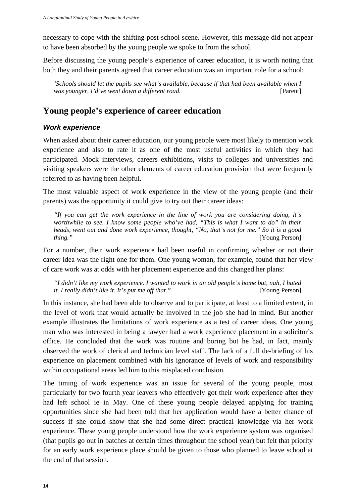necessary to cope with the shifting post-school scene. However, this message did not appear to have been absorbed by the young people we spoke to from the school.

Before discussing the young people's experience of career education, it is worth noting that both they and their parents agreed that career education was an important role for a school:

*'Schools should let the pupils see what's available, because if that had been available when I was younger, I'd've went down a different road.* [Parent]

## **Young people's experience of career education**

#### *Work experience*

When asked about their career education, our young people were most likely to mention work experience and also to rate it as one of the most useful activities in which they had participated. Mock interviews, careers exhibitions, visits to colleges and universities and visiting speakers were the other elements of career education provision that were frequently referred to as having been helpful.

The most valuable aspect of work experience in the view of the young people (and their parents) was the opportunity it could give to try out their career ideas:

*"If you can get the work experience in the line of work you are considering doing, it's worthwhile to see. I know some people who've had, "This is what I want to do" in their heads, went out and done work experience, thought, "No, that's not for me." So it is a good thing."* [Young Person]

For a number, their work experience had been useful in confirming whether or not their career idea was the right one for them. One young woman, for example, found that her view of care work was at odds with her placement experience and this changed her plans:

*"I didn't like my work experience. I wanted to work in an old people's home but, nah, I hated it. I really didn't like it. It's put me off that."* [Young Person]

In this instance, she had been able to observe and to participate, at least to a limited extent, in the level of work that would actually be involved in the job she had in mind. But another example illustrates the limitations of work experience as a test of career ideas. One young man who was interested in being a lawyer had a work experience placement in a solicitor's office. He concluded that the work was routine and boring but he had, in fact, mainly observed the work of clerical and technician level staff. The lack of a full de-briefing of his experience on placement combined with his ignorance of levels of work and responsibility within occupational areas led him to this misplaced conclusion.

The timing of work experience was an issue for several of the young people, most particularly for two fourth year leavers who effectively got their work experience after they had left school ie in May. One of these young people delayed applying for training opportunities since she had been told that her application would have a better chance of success if she could show that she had some direct practical knowledge via her work experience. These young people understood how the work experience system was organised (that pupils go out in batches at certain times throughout the school year) but felt that priority for an early work experience place should be given to those who planned to leave school at the end of that session.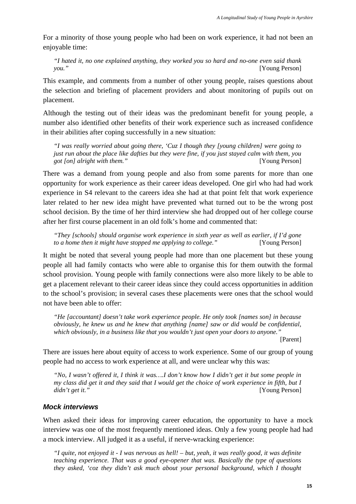For a minority of those young people who had been on work experience, it had not been an enjoyable time:

*"I hated it, no one explained anything, they worked you so hard and no-one even said thank you."* [Young Person]

This example, and comments from a number of other young people, raises questions about the selection and briefing of placement providers and about monitoring of pupils out on placement.

Although the testing out of their ideas was the predominant benefit for young people, a number also identified other benefits of their work experience such as increased confidence in their abilities after coping successfully in a new situation:

*"I was really worried about going there, 'Cuz I though they [young children] were going to just run about the place like dafties but they were fine, if you just stayed calm with them, you got [on] alright with them."* [Young Person]

There was a demand from young people and also from some parents for more than one opportunity for work experience as their career ideas developed. One girl who had had work experience in S4 relevant to the careers idea she had at that point felt that work experience later related to her new idea might have prevented what turned out to be the wrong post school decision. By the time of her third interview she had dropped out of her college course after her first course placement in an old folk's home and commented that:

*"They [schools] should organise work experience in sixth year as well as earlier, if I'd gone to a home then it might have stopped me applying to college."* [Young Person]

It might be noted that several young people had more than one placement but these young people all had family contacts who were able to organise this for them outwith the formal school provision. Young people with family connections were also more likely to be able to get a placement relevant to their career ideas since they could access opportunities in addition to the school's provision; in several cases these placements were ones that the school would not have been able to offer:

*"He [accountant] doesn't take work experience people. He only took [names son] in because obviously, he knew us and he knew that anything [name] saw or did would be confidential, which obviously, in a business like that you wouldn't just open your doors to anyone."* 

[Parent]

There are issues here about equity of access to work experience. Some of our group of young people had no access to work experience at all, and were unclear why this was:

*"No, I wasn't offered it, I think it was….I don't know how I didn't get it but some people in my class did get it and they said that I would get the choice of work experience in fifth, but I didn't get it."* [Young Person]

#### *Mock interviews*

When asked their ideas for improving career education, the opportunity to have a mock interview was one of the most frequently mentioned ideas. Only a few young people had had a mock interview. All judged it as a useful, if nerve-wracking experience:

*"I quite, not enjoyed it - I was nervous as hell! – but, yeah, it was really good, it was definite teaching experience. That was a good eye-opener that was. Basically the type of questions they asked, 'coz they didn't ask much about your personal background, which I thought*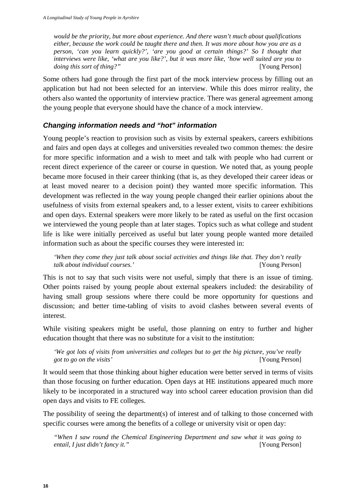*would be the priority, but more about experience. And there wasn't much about qualifications either, because the work could be taught there and then. It was more about how you are as a person, 'can you learn quickly?', 'are you good at certain things?' So I thought that interviews were like, 'what are you like?', but it was more like, 'how well suited are you to doing this sort of thing?"* 
<sup>[Young Person]</sup>

Some others had gone through the first part of the mock interview process by filling out an application but had not been selected for an interview. While this does mirror reality, the others also wanted the opportunity of interview practice. There was general agreement among the young people that everyone should have the chance of a mock interview.

#### *Changing information needs and "hot" information*

Young people's reaction to provision such as visits by external speakers, careers exhibitions and fairs and open days at colleges and universities revealed two common themes: the desire for more specific information and a wish to meet and talk with people who had current or recent direct experience of the career or course in question. We noted that, as young people became more focused in their career thinking (that is, as they developed their career ideas or at least moved nearer to a decision point) they wanted more specific information. This development was reflected in the way young people changed their earlier opinions about the usefulness of visits from external speakers and, to a lesser extent, visits to career exhibitions and open days. External speakers were more likely to be rated as useful on the first occasion we interviewed the young people than at later stages. Topics such as what college and student life is like were initially perceived as useful but later young people wanted more detailed information such as about the specific courses they were interested in:

*'When they come they just talk about social activities and things like that. They don't really talk about individual courses.'* [Young Person]

This is not to say that such visits were not useful, simply that there is an issue of timing. Other points raised by young people about external speakers included: the desirability of having small group sessions where there could be more opportunity for questions and discussion; and better time-tabling of visits to avoid clashes between several events of interest.

While visiting speakers might be useful, those planning on entry to further and higher education thought that there was no substitute for a visit to the institution:

*'We got lots of visits from universities and colleges but to get the big picture, you've really got to go on the visits'* [Young Person]

It would seem that those thinking about higher education were better served in terms of visits than those focusing on further education. Open days at HE institutions appeared much more likely to be incorporated in a structured way into school career education provision than did open days and visits to FE colleges.

The possibility of seeing the department(s) of interest and of talking to those concerned with specific courses were among the benefits of a college or university visit or open day:

*"When I saw round the Chemical Engineering Department and saw what it was going to entail, I just didn't fancy it."* [Young Person]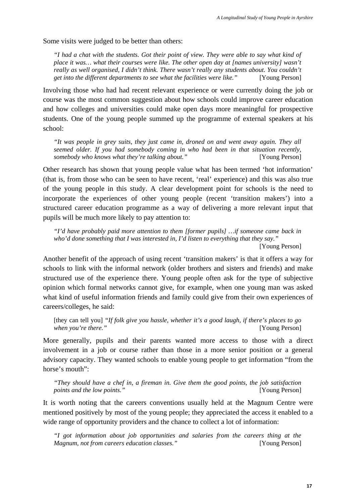Some visits were judged to be better than others:

*"I had a chat with the students. Got their point of view. They were able to say what kind of place it was… what their courses were like. The other open day at [names university] wasn't really as well organised, I didn't think. There wasn't really any students about. You couldn't get into the different departments to see what the facilities were like."* [Young Person]

Involving those who had had recent relevant experience or were currently doing the job or course was the most common suggestion about how schools could improve career education and how colleges and universities could make open days more meaningful for prospective students. One of the young people summed up the programme of external speakers at his school:

*"It was people in grey suits, they just came in, droned on and went away again. They all seemed older. If you had somebody coming in who had been in that situation recently, somebody who knows what they're talking about."* [Young Person]

Other research has shown that young people value what has been termed 'hot information' (that is, from those who can be seen to have recent, 'real' experience) and this was also true of the young people in this study. A clear development point for schools is the need to incorporate the experiences of other young people (recent 'transition makers') into a structured career education programme as a way of delivering a more relevant input that pupils will be much more likely to pay attention to:

*"I'd have probably paid more attention to them [former pupils] …if someone came back in who'd done something that I was interested in, I'd listen to everything that they say."*  [Young Person]

Another benefit of the approach of using recent 'transition makers' is that it offers a way for schools to link with the informal network (older brothers and sisters and friends) and make structured use of the experience there. Young people often ask for the type of subjective opinion which formal networks cannot give, for example, when one young man was asked what kind of useful information friends and family could give from their own experiences of careers/colleges, he said:

[they can tell you] *"If folk give you hassle, whether it's a good laugh, if there's places to go when you're there."* [Young Person]

More generally, pupils and their parents wanted more access to those with a direct involvement in a job or course rather than those in a more senior position or a general advisory capacity. They wanted schools to enable young people to get information "from the horse's mouth":

*"They should have a chef in, a fireman in. Give them the good points, the job satisfaction points and the low points.*"

It is worth noting that the careers conventions usually held at the Magnum Centre were mentioned positively by most of the young people; they appreciated the access it enabled to a wide range of opportunity providers and the chance to collect a lot of information:

*"I got information about job opportunities and salaries from the careers thing at the Magnum, not from careers education classes."* [Young Person]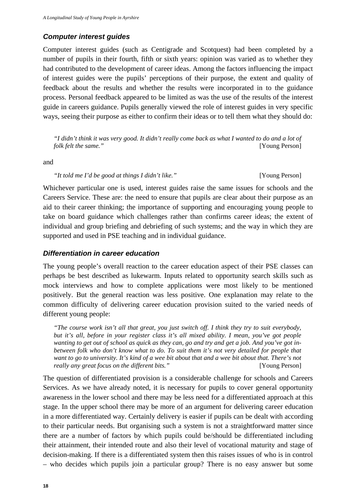#### *Computer interest guides*

Computer interest guides (such as Centigrade and Scotquest) had been completed by a number of pupils in their fourth, fifth or sixth years: opinion was varied as to whether they had contributed to the development of career ideas. Among the factors influencing the impact of interest guides were the pupils' perceptions of their purpose, the extent and quality of feedback about the results and whether the results were incorporated in to the guidance process. Personal feedback appeared to be limited as was the use of the results of the interest guide in careers guidance. Pupils generally viewed the role of interest guides in very specific ways, seeing their purpose as either to confirm their ideas or to tell them what they should do:

*"I didn't think it was very good. It didn't really come back as what I wanted to do and a lot of folk felt the same.*" 
[Young Person]

and

*"It told me I'd be good at things I didn't like."* [Young Person]

Whichever particular one is used, interest guides raise the same issues for schools and the Careers Service. These are: the need to ensure that pupils are clear about their purpose as an aid to their career thinking; the importance of supporting and encouraging young people to take on board guidance which challenges rather than confirms career ideas; the extent of individual and group briefing and debriefing of such systems; and the way in which they are supported and used in PSE teaching and in individual guidance.

#### *Differentiation in career education*

The young people's overall reaction to the career education aspect of their PSE classes can perhaps be best described as lukewarm. Inputs related to opportunity search skills such as mock interviews and how to complete applications were most likely to be mentioned positively. But the general reaction was less positive. One explanation may relate to the common difficulty of delivering career education provision suited to the varied needs of different young people:

*"The course work isn't all that great, you just switch off. I think they try to suit everybody, but it's all, before in your register class it's all mixed ability. I mean, you've got people wanting to get out of school as quick as they can, go and try and get a job. And you've got inbetween folk who don't know what to do. To suit them it's not very detailed for people that want to go to university. It's kind of a wee bit about that and a wee bit about that. There's not really any great focus on the different bits."* [Young Person]

The question of differentiated provision is a considerable challenge for schools and Careers Services. As we have already noted, it is necessary for pupils to cover general opportunity awareness in the lower school and there may be less need for a differentiated approach at this stage. In the upper school there may be more of an argument for delivering career education in a more differentiated way. Certainly delivery is easier if pupils can be dealt with according to their particular needs. But organising such a system is not a straightforward matter since there are a number of factors by which pupils could be/should be differentiated including their attainment, their intended route and also their level of vocational maturity and stage of decision-making. If there is a differentiated system then this raises issues of who is in control – who decides which pupils join a particular group? There is no easy answer but some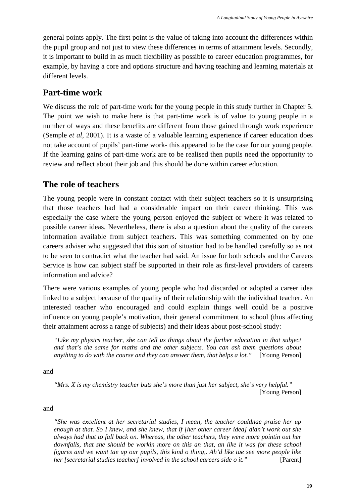general points apply. The first point is the value of taking into account the differences within the pupil group and not just to view these differences in terms of attainment levels. Secondly, it is important to build in as much flexibility as possible to career education programmes, for example, by having a core and options structure and having teaching and learning materials at different levels.

### **Part-time work**

We discuss the role of part-time work for the young people in this study further in Chapter 5. The point we wish to make here is that part-time work is of value to young people in a number of ways and these benefits are different from those gained through work experience (Semple *et al*, 2001). It is a waste of a valuable learning experience if career education does not take account of pupils' part-time work- this appeared to be the case for our young people. If the learning gains of part-time work are to be realised then pupils need the opportunity to review and reflect about their job and this should be done within career education.

## **The role of teachers**

The young people were in constant contact with their subject teachers so it is unsurprising that those teachers had had a considerable impact on their career thinking. This was especially the case where the young person enjoyed the subject or where it was related to possible career ideas. Nevertheless, there is also a question about the quality of the careers information available from subject teachers. This was something commented on by one careers adviser who suggested that this sort of situation had to be handled carefully so as not to be seen to contradict what the teacher had said. An issue for both schools and the Careers Service is how can subject staff be supported in their role as first-level providers of careers information and advice?

There were various examples of young people who had discarded or adopted a career idea linked to a subject because of the quality of their relationship with the individual teacher. An interested teacher who encouraged and could explain things well could be a positive influence on young people's motivation, their general commitment to school (thus affecting their attainment across a range of subjects) and their ideas about post-school study:

*"Like my physics teacher, she can tell us things about the further education in that subject and that's the same for maths and the other subjects. You can ask them questions about anything to do with the course and they can answer them, that helps a lot."* [Young Person]

and

*"Mrs. X is my chemistry teacher buts she's more than just her subject, she's very helpful."*  [Young Person]

#### and

*"She was excellent at her secretarial studies, I mean, the teacher couldnae praise her up enough at that. So I knew, and she knew, that if [her other career idea] didn't work out she always had that to fall back on. Whereas, the other teachers, they were more pointin out her downfalls, that she should be workin more on this an that, an like it was for these school figures and we want tae up our pupils, this kind o thing,. Ah'd like tae see more people like her [secretarial studies teacher] involved in the school careers side o it."* [Parent]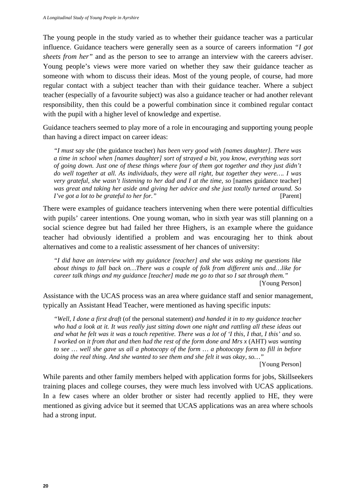The young people in the study varied as to whether their guidance teacher was a particular influence. Guidance teachers were generally seen as a source of careers information *"I got sheets from her"* and as the person to see to arrange an interview with the careers adviser. Young people's views were more varied on whether they saw their guidance teacher as someone with whom to discuss their ideas. Most of the young people, of course, had more regular contact with a subject teacher than with their guidance teacher. Where a subject teacher (especially of a favourite subject) was also a guidance teacher or had another relevant responsibility, then this could be a powerful combination since it combined regular contact with the pupil with a higher level of knowledge and expertise.

Guidance teachers seemed to play more of a role in encouraging and supporting young people than having a direct impact on career ideas:

*"I must say she* (the guidance teacher) *has been very good with [names daughter]. There was a time in school when [names daughter] sort of strayed a bit, you know, everything was sort of going down. Just one of these things where four of them got together and they just didn't do well together at all. As individuals, they were all right, but together they were…. I was very grateful, she wasn't listening to her dad and I at the time, so* [names guidance teacher] *was great and taking her aside and giving her advice and she just totally turned around. So I've got a lot to be grateful to her for.*" [Parent]

There were examples of guidance teachers intervening when there were potential difficulties with pupils' career intentions. One young woman, who in sixth year was still planning on a social science degree but had failed her three Highers, is an example where the guidance teacher had obviously identified a problem and was encouraging her to think about alternatives and come to a realistic assessment of her chances of university:

*"I did have an interview with my guidance [teacher] and she was asking me questions like about things to fall back on…There was a couple of folk from different unis and…like for career talk things and my guidance [teacher] made me go to that so I sat through them."* 

[Young Person]

Assistance with the UCAS process was an area where guidance staff and senior management, typically an Assistant Head Teacher, were mentioned as having specific inputs:

*"Well, I done a first draft* (of the personal statement) *and handed it in to my guidance teacher who had a look at it. It was really just sitting down one night and rattling all these ideas out and what he felt was it was a touch repetitive. There was a lot of 'I this, I that, I this' and so. I worked on it from that and then had the rest of the form done and Mrs x* (AHT) *was wanting to see … well she gave us all a photocopy of the form … a photocopy form to fill in before doing the real thing. And she wanted to see them and she felt it was okay, so…"* 

[Young Person]

While parents and other family members helped with application forms for jobs, Skillseekers training places and college courses, they were much less involved with UCAS applications. In a few cases where an older brother or sister had recently applied to HE, they were mentioned as giving advice but it seemed that UCAS applications was an area where schools had a strong input.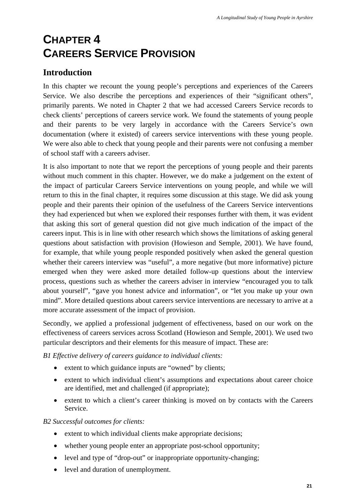## **CHAPTER 4 CAREERS SERVICE PROVISION**

## **Introduction**

In this chapter we recount the young people's perceptions and experiences of the Careers Service. We also describe the perceptions and experiences of their "significant others", primarily parents. We noted in Chapter 2 that we had accessed Careers Service records to check clients' perceptions of careers service work. We found the statements of young people and their parents to be very largely in accordance with the Careers Service's own documentation (where it existed) of careers service interventions with these young people. We were also able to check that young people and their parents were not confusing a member of school staff with a careers adviser.

It is also important to note that we report the perceptions of young people and their parents without much comment in this chapter. However, we do make a judgement on the extent of the impact of particular Careers Service interventions on young people, and while we will return to this in the final chapter, it requires some discussion at this stage. We did ask young people and their parents their opinion of the usefulness of the Careers Service interventions they had experienced but when we explored their responses further with them, it was evident that asking this sort of general question did not give much indication of the impact of the careers input. This is in line with other research which shows the limitations of asking general questions about satisfaction with provision (Howieson and Semple, 2001). We have found, for example, that while young people responded positively when asked the general question whether their careers interview was "useful", a more negative (but more informative) picture emerged when they were asked more detailed follow-up questions about the interview process, questions such as whether the careers adviser in interview "encouraged you to talk about yourself", "gave you honest advice and information", or "let you make up your own mind". More detailed questions about careers service interventions are necessary to arrive at a more accurate assessment of the impact of provision.

Secondly, we applied a professional judgement of effectiveness, based on our work on the effectiveness of careers services across Scotland (Howieson and Semple, 2001). We used two particular descriptors and their elements for this measure of impact. These are:

#### *B1 Effective delivery of careers guidance to individual clients:*

- extent to which guidance inputs are "owned" by clients;
- extent to which individual client's assumptions and expectations about career choice are identified, met and challenged (if appropriate);
- extent to which a client's career thinking is moved on by contacts with the Careers Service.

#### *B2 Successful outcomes for clients:*

- extent to which individual clients make appropriate decisions;
- whether young people enter an appropriate post-school opportunity;
- level and type of "drop-out" or inappropriate opportunity-changing;
- level and duration of unemployment.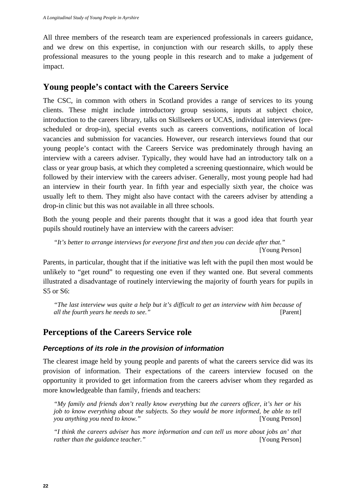All three members of the research team are experienced professionals in careers guidance, and we drew on this expertise, in conjunction with our research skills, to apply these professional measures to the young people in this research and to make a judgement of impact.

## **Young people's contact with the Careers Service**

The CSC, in common with others in Scotland provides a range of services to its young clients. These might include introductory group sessions, inputs at subject choice, introduction to the careers library, talks on Skillseekers or UCAS, individual interviews (prescheduled or drop-in), special events such as careers conventions, notification of local vacancies and submission for vacancies. However, our research interviews found that our young people's contact with the Careers Service was predominately through having an interview with a careers adviser. Typically, they would have had an introductory talk on a class or year group basis, at which they completed a screening questionnaire, which would be followed by their interview with the careers adviser. Generally, most young people had had an interview in their fourth year. In fifth year and especially sixth year, the choice was usually left to them. They might also have contact with the careers adviser by attending a drop-in clinic but this was not available in all three schools.

Both the young people and their parents thought that it was a good idea that fourth year pupils should routinely have an interview with the careers adviser:

*"It's better to arrange interviews for everyone first and then you can decide after that."*  [Young Person]

Parents, in particular, thought that if the initiative was left with the pupil then most would be unlikely to "get round" to requesting one even if they wanted one. But several comments illustrated a disadvantage of routinely interviewing the majority of fourth years for pupils in S5 or S6:

*"The last interview was quite a help but it's difficult to get an interview with him because of all the fourth years he needs to see."* [Parent]

## **Perceptions of the Careers Service role**

#### *Perceptions of its role in the provision of information*

The clearest image held by young people and parents of what the careers service did was its provision of information. Their expectations of the careers interview focused on the opportunity it provided to get information from the careers adviser whom they regarded as more knowledgeable than family, friends and teachers:

*"My family and friends don't really know everything but the careers officer, it's her or his job to know everything about the subjects. So they would be more informed, be able to tell you anything you need to know."* [Young Person]

*"I think the careers adviser has more information and can tell us more about jobs an' that rather than the guidance teacher."* [Young Person]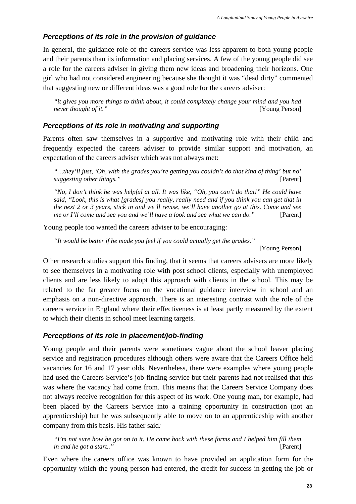#### *Perceptions of its role in the provision of guidance*

In general, the guidance role of the careers service was less apparent to both young people and their parents than its information and placing services. A few of the young people did see a role for the careers adviser in giving them new ideas and broadening their horizons. One girl who had not considered engineering because she thought it was "dead dirty" commented that suggesting new or different ideas was a good role for the careers adviser:

*"it gives you more things to think about, it could completely change your mind and you had never thought of it.*" 
[Young Person]

#### *Perceptions of its role in motivating and supporting*

Parents often saw themselves in a supportive and motivating role with their child and frequently expected the careers adviser to provide similar support and motivation, an expectation of the careers adviser which was not always met:

*"…they'll just, 'Oh, with the grades you're getting you couldn't do that kind of thing' but no' suggesting other things."* [Parent]

*"No, I don't think he was helpful at all. It was like, "Oh, you can't do that!" He could have said, "Look, this is what [grades] you really, really need and if you think you can get that in the next 2 or 3 years, stick in and we'll revise, we'll have another go at this. Come and see me or I'll come and see you and we'll have a look and see what we can do."* [Parent]

Young people too wanted the careers adviser to be encouraging:

*"It would be better if he made you feel if you could actually get the grades."* 

[Young Person]

Other research studies support this finding, that it seems that careers advisers are more likely to see themselves in a motivating role with post school clients, especially with unemployed clients and are less likely to adopt this approach with clients in the school. This may be related to the far greater focus on the vocational guidance interview in school and an emphasis on a non-directive approach. There is an interesting contrast with the role of the careers service in England where their effectiveness is at least partly measured by the extent to which their clients in school meet learning targets.

#### *Perceptions of its role in placement/job-finding*

Young people and their parents were sometimes vague about the school leaver placing service and registration procedures although others were aware that the Careers Office held vacancies for 16 and 17 year olds. Nevertheless, there were examples where young people had used the Careers Service's job-finding service but their parents had not realised that this was where the vacancy had come from. This means that the Careers Service Company does not always receive recognition for this aspect of its work. One young man, for example, had been placed by the Careers Service into a training opportunity in construction (not an apprenticeship) but he was subsequently able to move on to an apprenticeship with another company from this basis. His father said*:* 

*"I'm not sure how he got on to it. He came back with these forms and I helped him fill them in and he got a start.."* [Parent]

Even where the careers office was known to have provided an application form for the opportunity which the young person had entered, the credit for success in getting the job or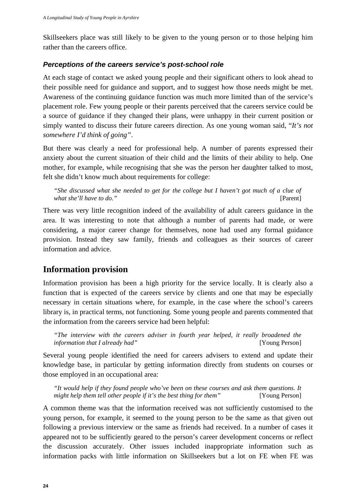Skillseekers place was still likely to be given to the young person or to those helping him rather than the careers office.

#### *Perceptions of the careers service's post-school role*

At each stage of contact we asked young people and their significant others to look ahead to their possible need for guidance and support, and to suggest how those needs might be met. Awareness of the continuing guidance function was much more limited than of the service's placement role. Few young people or their parents perceived that the careers service could be a source of guidance if they changed their plans, were unhappy in their current position or simply wanted to discuss their future careers direction. As one young woman said, "*It's not somewhere I'd think of going"*.

But there was clearly a need for professional help. A number of parents expressed their anxiety about the current situation of their child and the limits of their ability to help. One mother, for example, while recognising that she was the person her daughter talked to most, felt she didn't know much about requirements for college:

*"She discussed what she needed to get for the college but I haven't got much of a clue of what she'll have to do."* [Parent]

There was very little recognition indeed of the availability of adult careers guidance in the area. It was interesting to note that although a number of parents had made, or were considering, a major career change for themselves, none had used any formal guidance provision. Instead they saw family, friends and colleagues as their sources of career information and advice.

### **Information provision**

Information provision has been a high priority for the service locally. It is clearly also a function that is expected of the careers service by clients and one that may be especially necessary in certain situations where, for example, in the case where the school's careers library is, in practical terms, not functioning. Some young people and parents commented that the information from the careers service had been helpful:

*"The interview with the careers adviser in fourth year helped, it really broadened the information that I already had"* [Young Person]

Several young people identified the need for careers advisers to extend and update their knowledge base, in particular by getting information directly from students on courses or those employed in an occupational area:

*"It would help if they found people who've been on these courses and ask them questions. It might help them tell other people if it's the best thing for them"* [Young Person]

A common theme was that the information received was not sufficiently customised to the young person, for example, it seemed to the young person to be the same as that given out following a previous interview or the same as friends had received. In a number of cases it appeared not to be sufficiently geared to the person's career development concerns or reflect the discussion accurately. Other issues included inappropriate information such as information packs with little information on Skillseekers but a lot on FE when FE was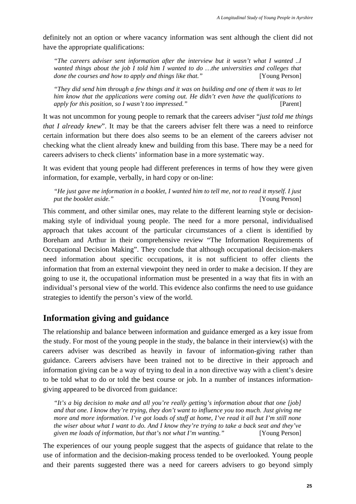definitely not an option or where vacancy information was sent although the client did not have the appropriate qualifications:

*"The careers adviser sent information after the interview but it wasn't what I wanted ..I wanted things about the job I told him I wanted to do …the universities and colleges that done the courses and how to apply and things like that."* [Young Person]

*"They did send him through a few things and it was on building and one of them it was to let him know that the applications were coming out. He didn't even have the qualifications to apply for this position, so I wasn't too impressed."* [Parent]

It was not uncommon for young people to remark that the careers adviser "*just told me things that I already knew*". It may be that the careers adviser felt there was a need to reinforce certain information but there does also seems to be an element of the careers adviser not checking what the client already knew and building from this base. There may be a need for careers advisers to check clients' information base in a more systematic way.

It was evident that young people had different preferences in terms of how they were given information, for example, verbally, in hard copy or on-line:

*"He just gave me information in a booklet, I wanted him to tell me, not to read it myself. I just put the booklet aside."* 
[Young Person]

This comment, and other similar ones, may relate to the different learning style or decisionmaking style of individual young people. The need for a more personal, individualised approach that takes account of the particular circumstances of a client is identified by Boreham and Arthur in their comprehensive review "The Information Requirements of Occupational Decision Making". They conclude that although occupational decision-makers need information about specific occupations, it is not sufficient to offer clients the information that from an external viewpoint they need in order to make a decision. If they are going to use it, the occupational information must be presented in a way that fits in with an individual's personal view of the world. This evidence also confirms the need to use guidance strategies to identify the person's view of the world.

## **Information giving and guidance**

The relationship and balance between information and guidance emerged as a key issue from the study. For most of the young people in the study, the balance in their interview(s) with the careers adviser was described as heavily in favour of information-giving rather than guidance. Careers advisers have been trained not to be directive in their approach and information giving can be a way of trying to deal in a non directive way with a client's desire to be told what to do or told the best course or job. In a number of instances informationgiving appeared to be divorced from guidance:

*"It's a big decision to make and all you're really getting's information about that one [job] and that one. I know they're trying, they don't want to influence you too much. Just giving me more and more information. I've got loads of stuff at home, I've read it all but I'm still none the wiser about what I want to do. And I know they're trying to take a back seat and they've given me loads of information, but that's not what I'm wanting."* [Young Person]

The experiences of our young people suggest that the aspects of guidance that relate to the use of information and the decision-making process tended to be overlooked. Young people and their parents suggested there was a need for careers advisers to go beyond simply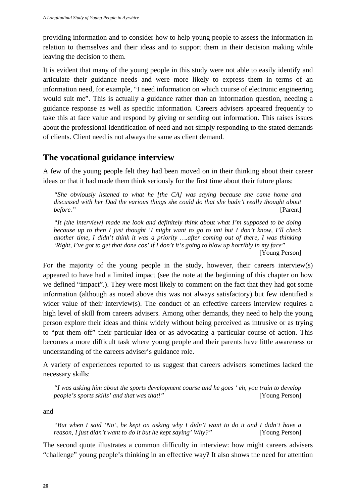providing information and to consider how to help young people to assess the information in relation to themselves and their ideas and to support them in their decision making while leaving the decision to them.

It is evident that many of the young people in this study were not able to easily identify and articulate their guidance needs and were more likely to express them in terms of an information need, for example, "I need information on which course of electronic engineering would suit me". This is actually a guidance rather than an information question, needing a guidance response as well as specific information. Careers advisers appeared frequently to take this at face value and respond by giving or sending out information. This raises issues about the professional identification of need and not simply responding to the stated demands of clients. Client need is not always the same as client demand.

## **The vocational guidance interview**

A few of the young people felt they had been moved on in their thinking about their career ideas or that it had made them think seriously for the first time about their future plans:

*"She obviously listened to what he [the CA] was saying because she came home and discussed with her Dad the various things she could do that she hadn't really thought about before."* [Parent]

*"It [the interview] made me look and definitely think about what I'm supposed to be doing because up to then I just thought 'I might want to go to uni but I don't know, I'll check another time, I didn't think it was a priority ….after coming out of there, I was thinking 'Right, I've got to get that done cos' if I don't it's going to blow up horribly in my face"*  [Young Person]

For the majority of the young people in the study, however, their careers interview(s) appeared to have had a limited impact (see the note at the beginning of this chapter on how we defined "impact".). They were most likely to comment on the fact that they had got some information (although as noted above this was not always satisfactory) but few identified a wider value of their interview(s). The conduct of an effective careers interview requires a high level of skill from careers advisers*.* Among other demands, they need to help the young person explore their ideas and think widely without being perceived as intrusive or as trying to "put them off" their particular idea or as advocating a particular course of action. This becomes a more difficult task where young people and their parents have little awareness or understanding of the careers adviser's guidance role.

A variety of experiences reported to us suggest that careers advisers sometimes lacked the necessary skills:

*"I was asking him about the sports development course and he goes ' eh, you train to develop people's sports skills' and that was that!"* [Young Person]

and

*"But when I said 'No', he kept on asking why I didn't want to do it and I didn't have a reason, I just didn't want to do it but he kept saying' Why?"* [Young Person]

The second quote illustrates a common difficulty in interview: how might careers advisers "challenge" young people's thinking in an effective way? It also shows the need for attention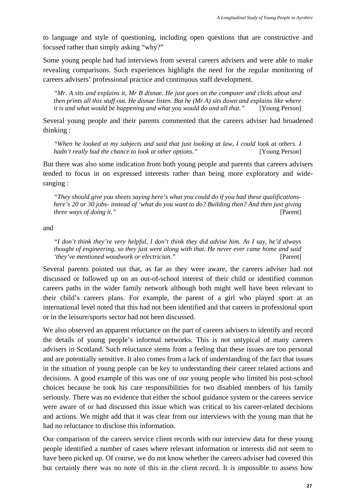to language and style of questioning, including open questions that are constructive and focused rather than simply asking "why?"

Some young people had had interviews from several careers advisers and were able to make revealing comparisons. Such experiences highlight the need for the regular monitoring of careers advisers' professional practice and continuous staff development.

*"Mr. A sits and explains it, Mr B disnae. He just goes on the computer and clicks about and then prints all this stuff out. He disnae listen. But he (Mr A) sits down and explains like where it is and what would be happening and what you would do and all that."* [Young Person]

Several young people and their parents commented that the careers adviser had broadened thinking :

*"When he looked at my subjects and said that just looking at law, I could look at others. I hadn't really had the chance to look at other options."* [Young Person]

But there was also some indication from both young people and parents that careers advisers tended to focus in on expressed interests rather than being more exploratory and wideranging :

*"They should give you sheets saying here's what you could do if you had these qualificationshere's 20 or 30 jobs- instead of 'what do you want to do? Building then? And then just giving three ways of doing it."* [Parent]

and

*"I don't think they're very helpful, I don't think they did advise him. As I say, he'd always thought of engineering, so they just went along with that. He never ever came home and said 'they've mentioned woodwork or electrician."* [Parent]

Several parents pointed out that, as far as they were aware, the careers adviser had not discussed or followed up on an out-of-school interest of their child or identified common careers paths in the wider family network although both might well have been relevant to their child's careers plans. For example, the parent of a girl who played sport at an international level noted that this had not been identified and that careers in professional sport or in the leisure/sports sector had not been discussed.

We also observed an apparent reluctance on the part of careers advisers to identify and record the details of young people's informal networks. This is not untypical of many careers advisers in Scotland. Such reluctance stems from a feeling that these issues are too personal and are potentially sensitive. It also comes from a lack of understanding of the fact that issues in the situation of young people can be key to understanding their career related actions and decisions. A good example of this was one of our young people who limited his post-school choices because he took his care responsibilities for two disabled members of his family seriously. There was no evidence that either the school guidance system or the careers service were aware of or had discussed this issue which was critical to his career-related decisions and actions. We might add that it was clear from our interviews with the young man that he had no reluctance to disclose this information.

Our comparison of the careers service client records with our interview data for these young people identified a number of cases where relevant information or interests did not seem to have been picked up. Of course, we do not know whether the careers adviser had covered this but certainly there was no note of this in the client record. It is impossible to assess how

**27**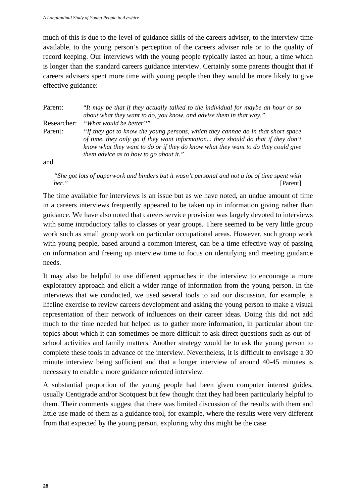much of this is due to the level of guidance skills of the careers adviser, to the interview time available, to the young person's perception of the careers adviser role or to the quality of record keeping. Our interviews with the young people typically lasted an hour, a time which is longer than the standard careers guidance interview. Certainly some parents thought that if careers advisers spent more time with young people then they would be more likely to give effective guidance:

| Parent:     | "It may be that if they actually talked to the individual for maybe an hour or so                                                                                                                                                                                                                   |
|-------------|-----------------------------------------------------------------------------------------------------------------------------------------------------------------------------------------------------------------------------------------------------------------------------------------------------|
|             | about what they want to do, you know, and advise them in that way."                                                                                                                                                                                                                                 |
| Researcher: | "What would be better?"                                                                                                                                                                                                                                                                             |
| Parent:     | "If they got to know the young persons, which they cannae do in that short space<br>of time, they only go if they want information they should do that if they don't<br>know what they want to do or if they do know what they want to do they could give<br>them advice as to how to go about it." |
| and         |                                                                                                                                                                                                                                                                                                     |

*"She got lots of paperwork and binders but it wasn't personal and not a lot of time spent with her."* [Parent]

The time available for interviews is an issue but as we have noted, an undue amount of time in a careers interviews frequently appeared to be taken up in information giving rather than guidance. We have also noted that careers service provision was largely devoted to interviews with some introductory talks to classes or year groups. There seemed to be very little group work such as small group work on particular occupational areas. However, such group work with young people, based around a common interest, can be a time effective way of passing on information and freeing up interview time to focus on identifying and meeting guidance needs.

It may also be helpful to use different approaches in the interview to encourage a more exploratory approach and elicit a wider range of information from the young person. In the interviews that we conducted, we used several tools to aid our discussion, for example, a lifeline exercise to review careers development and asking the young person to make a visual representation of their network of influences on their career ideas. Doing this did not add much to the time needed but helped us to gather more information, in particular about the topics about which it can sometimes be more difficult to ask direct questions such as out-ofschool activities and family matters. Another strategy would be to ask the young person to complete these tools in advance of the interview. Nevertheless, it is difficult to envisage a 30 minute interview being sufficient and that a longer interview of around 40-45 minutes is necessary to enable a more guidance oriented interview.

A substantial proportion of the young people had been given computer interest guides, usually Centigrade and/or Scotquest but few thought that they had been particularly helpful to them. Their comments suggest that there was limited discussion of the results with them and little use made of them as a guidance tool, for example, where the results were very different from that expected by the young person, exploring why this might be the case.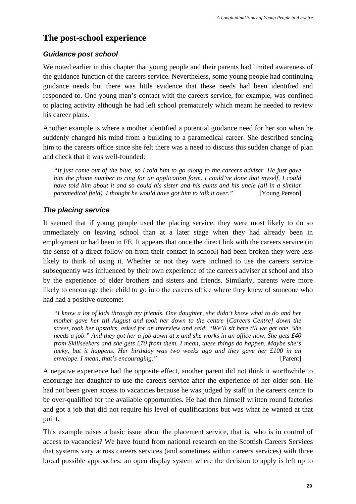## **The post-school experience**

#### *Guidance post school*

We noted earlier in this chapter that young people and their parents had limited awareness of the guidance function of the careers service. Nevertheless, some young people had continuing guidance needs but there was little evidence that these needs had been identified and responded to. One young man's contact with the careers service, for example, was confined to placing activity although he had left school prematurely which meant he needed to review his career plans.

Another example is where a mother identified a potential guidance need for her son when he suddenly changed his mind from a building to a paramedical career. She described sending him to the careers office since she felt there was a need to discuss this sudden change of plan and check that it was well-founded:

*"It just came out of the blue, so I told him to go along to the careers adviser. He just gave him the phone number to ring for an application form. I could've done that myself, I could have told him about it and so could his sister and his aunts and his uncle (all in a similar paramedical field). I thought he would have got him to talk it over.*" [Young Person]

## *The placing service*

It seemed that if young people used the placing service, they were most likely to do so immediately on leaving school than at a later stage when they had already been in employment or had been in FE. It appears that once the direct link with the careers service (in the sense of a direct follow-on from their contact in school) had been broken they were less likely to think of using it. Whether or not they were inclined to use the careers service subsequently was influenced by their own experience of the careers adviser at school and also by the experience of elder brothers and sisters and friends. Similarly, parents were more likely to encourage their child to go into the careers office where they knew of someone who had had a positive outcome:

*"I know a lot of kids through my friends. One daughter, she didn't know what to do and her mother gave her till August and took her down to the centre [Careers Centre] down the street, took her upstairs, asked for an interview and said, "We'll sit here till we get one. She needs a job." And they got her a job down at x and she works in an office now. She gets £40 from Skillseekers and she gets £70 from them. I mean, these things do happen. Maybe she's lucky, but it happens. Her birthday was two weeks ago and they gave her £100 in an envelope. I mean, that's encouraging."* [Parent]

A negative experience had the opposite effect, another parent did not think it worthwhile to encourage her daughter to use the careers service after the experience of her older son. He had not been given access to vacancies because he was judged by staff in the careers centre to be over-qualified for the available opportunities. He had then himself written round factories and got a job that did not require his level of qualifications but was what he wanted at that point.

This example raises a basic issue about the placement service, that is, who is in control of access to vacancies? We have found from national research on the Scottish Careers Services that systems vary across careers services (and sometimes within careers services) with three broad possible approaches: an open display system where the decision to apply is left up to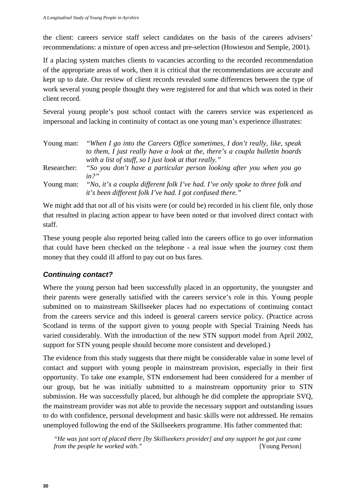the client: careers service staff select candidates on the basis of the careers advisers' recommendations: a mixture of open access and pre-selection (Howieson and Semple, 2001).

If a placing system matches clients to vacancies according to the recorded recommendation of the appropriate areas of work, then it is critical that the recommendations are accurate and kept up to date. Our review of client records revealed some differences between the type of work several young people thought they were registered for and that which was noted in their client record.

Several young people's post school contact with the careers service was experienced as impersonal and lacking in continuity of contact as one young man's experience illustrates:

| Young man:  | "When I go into the Careers Office sometimes, I don't really, like, speak     |
|-------------|-------------------------------------------------------------------------------|
|             | to them, I just really have a look at the, there's a coupla bulletin boards   |
|             | with a list of stuff, so I just look at that really."                         |
| Researcher: | "So you don't have a particular person looking after you when you go          |
|             | in 2"                                                                         |
| Young man:  | "No, it's a coupla different folk I've had. I've only spoke to three folk and |
|             | <i>it's been different folk I've had. I got confused there.</i> "             |

We might add that not all of his visits were (or could be) recorded in his client file, only those that resulted in placing action appear to have been noted or that involved direct contact with staff.

These young people also reported being called into the careers office to go over information that could have been checked on the telephone - a real issue when the journey cost them money that they could ill afford to pay out on bus fares.

## *Continuing contact?*

Where the young person had been successfully placed in an opportunity, the youngster and their parents were generally satisfied with the careers service's role in this. Young people submitted on to mainstream Skillseeker places had no expectations of continuing contact from the careers service and this indeed is general careers service policy. (Practice across Scotland in terms of the support given to young people with Special Training Needs has varied considerably. With the introduction of the new STN support model from April 2002, support for STN young people should become more consistent and developed.)

The evidence from this study suggests that there might be considerable value in some level of contact and support with young people in mainstream provision, especially in their first opportunity. To take one example, STN endorsement had been considered for a member of our group, but he was initially submitted to a mainstream opportunity prior to STN submission. He was successfully placed, but although he did complete the appropriate SVQ, the mainstream provider was not able to provide the necessary support and outstanding issues to do with confidence, personal development and basic skills were not addressed. He remains unemployed following the end of the Skillseekers programme. His father commented that:

*"He was just sort of placed there [by Skillseekers provider] and any support he got just came from the people he worked with."* [Young Person]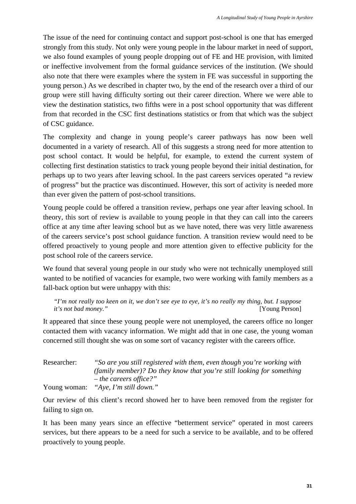The issue of the need for continuing contact and support post-school is one that has emerged strongly from this study. Not only were young people in the labour market in need of support, we also found examples of young people dropping out of FE and HE provision, with limited or ineffective involvement from the formal guidance services of the institution. (We should also note that there were examples where the system in FE was successful in supporting the young person.) As we described in chapter two, by the end of the research over a third of our group were still having difficulty sorting out their career direction. Where we were able to view the destination statistics, two fifths were in a post school opportunity that was different from that recorded in the CSC first destinations statistics or from that which was the subject of CSC guidance.

The complexity and change in young people's career pathways has now been well documented in a variety of research. All of this suggests a strong need for more attention to post school contact. It would be helpful, for example, to extend the current system of collecting first destination statistics to track young people beyond their initial destination, for perhaps up to two years after leaving school. In the past careers services operated "a review of progress" but the practice was discontinued. However, this sort of activity is needed more than ever given the pattern of post-school transitions.

Young people could be offered a transition review, perhaps one year after leaving school. In theory, this sort of review is available to young people in that they can call into the careers office at any time after leaving school but as we have noted, there was very little awareness of the careers service's post school guidance function. A transition review would need to be offered proactively to young people and more attention given to effective publicity for the post school role of the careers service.

We found that several young people in our study who were not technically unemployed still wanted to be notified of vacancies for example, two were working with family members as a fall-back option but were unhappy with this:

*"I'm not really too keen on it, we don't see eye to eye, it's no really my thing, but. I suppose it's not bad money.*" 
[Young Person]

It appeared that since these young people were not unemployed, the careers office no longer contacted them with vacancy information. We might add that in one case, the young woman concerned still thought she was on some sort of vacancy register with the careers office.

| Researcher:  | "So are you still registered with them, even though you're working with |
|--------------|-------------------------------------------------------------------------|
|              | (family member)? Do they know that you're still looking for something   |
|              | $-$ the careers office?"                                                |
| Young woman: | "Aye, I'm still down."                                                  |

Our review of this client's record showed her to have been removed from the register for failing to sign on.

It has been many years since an effective "betterment service" operated in most careers services, but there appears to be a need for such a service to be available, and to be offered proactively to young people.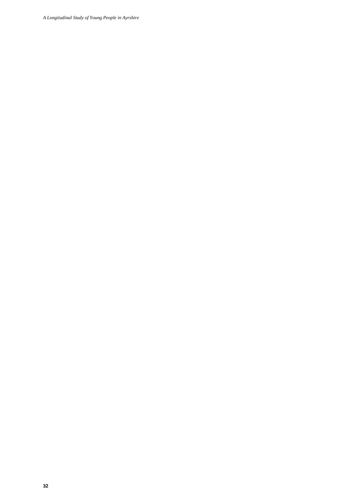*A Longitudinal Study of Young People in Ayrshire*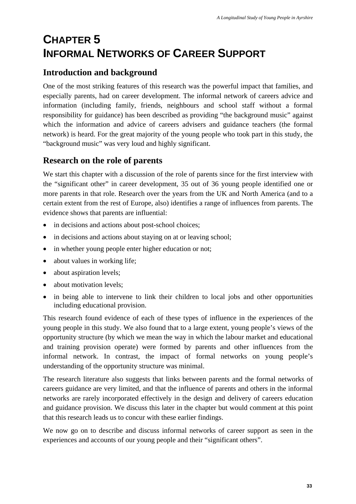# **CHAPTER 5 INFORMAL NETWORKS OF CAREER SUPPORT**

# **Introduction and background**

One of the most striking features of this research was the powerful impact that families, and especially parents, had on career development. The informal network of careers advice and information (including family, friends, neighbours and school staff without a formal responsibility for guidance) has been described as providing "the background music" against which the information and advice of careers advisers and guidance teachers (the formal network) is heard. For the great majority of the young people who took part in this study, the "background music" was very loud and highly significant.

# **Research on the role of parents**

We start this chapter with a discussion of the role of parents since for the first interview with the "significant other" in career development, 35 out of 36 young people identified one or more parents in that role. Research over the years from the UK and North America (and to a certain extent from the rest of Europe, also) identifies a range of influences from parents. The evidence shows that parents are influential:

- in decisions and actions about post-school choices;
- in decisions and actions about staying on at or leaving school;
- in whether young people enter higher education or not;
- about values in working life:
- about aspiration levels;
- about motivation levels;
- in being able to intervene to link their children to local jobs and other opportunities including educational provision.

This research found evidence of each of these types of influence in the experiences of the young people in this study. We also found that to a large extent, young people's views of the opportunity structure (by which we mean the way in which the labour market and educational and training provision operate) were formed by parents and other influences from the informal network. In contrast, the impact of formal networks on young people's understanding of the opportunity structure was minimal.

The research literature also suggests that links between parents and the formal networks of careers guidance are very limited, and that the influence of parents and others in the informal networks are rarely incorporated effectively in the design and delivery of careers education and guidance provision. We discuss this later in the chapter but would comment at this point that this research leads us to concur with these earlier findings.

We now go on to describe and discuss informal networks of career support as seen in the experiences and accounts of our young people and their "significant others".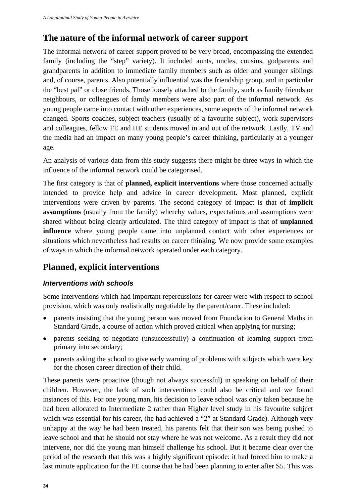# **The nature of the informal network of career support**

The informal network of career support proved to be very broad, encompassing the extended family (including the "step" variety). It included aunts, uncles, cousins, godparents and grandparents in addition to immediate family members such as older and younger siblings and, of course, parents. Also potentially influential was the friendship group, and in particular the "best pal" or close friends. Those loosely attached to the family, such as family friends or neighbours, or colleagues of family members were also part of the informal network. As young people came into contact with other experiences, some aspects of the informal network changed. Sports coaches, subject teachers (usually of a favourite subject), work supervisors and colleagues, fellow FE and HE students moved in and out of the network. Lastly, TV and the media had an impact on many young people's career thinking, particularly at a younger age.

An analysis of various data from this study suggests there might be three ways in which the influence of the informal network could be categorised.

The first category is that of **planned, explicit interventions** where those concerned actually intended to provide help and advice in career development. Most planned, explicit interventions were driven by parents. The second category of impact is that of **implicit assumptions** (usually from the family) whereby values, expectations and assumptions were shared without being clearly articulated. The third category of impact is that of **unplanned influence** where young people came into unplanned contact with other experiences or situations which nevertheless had results on career thinking. We now provide some examples of ways in which the informal network operated under each category.

# **Planned, explicit interventions**

# *Interventions with schools*

Some interventions which had important repercussions for career were with respect to school provision, which was only realistically negotiable by the parent/carer. These included:

- parents insisting that the young person was moved from Foundation to General Maths in Standard Grade, a course of action which proved critical when applying for nursing;
- parents seeking to negotiate (unsuccessfully) a continuation of learning support from primary into secondary;
- parents asking the school to give early warning of problems with subjects which were key for the chosen career direction of their child.

These parents were proactive (though not always successful) in speaking on behalf of their children. However, the lack of such interventions could also be critical and we found instances of this. For one young man, his decision to leave school was only taken because he had been allocated to Intermediate 2 rather than Higher level study in his favourite subject which was essential for his career, (he had achieved a "2" at Standard Grade). Although very unhappy at the way he had been treated, his parents felt that their son was being pushed to leave school and that he should not stay where he was not welcome. As a result they did not intervene, nor did the young man himself challenge his school. But it became clear over the period of the research that this was a highly significant episode: it had forced him to make a last minute application for the FE course that he had been planning to enter after S5. This was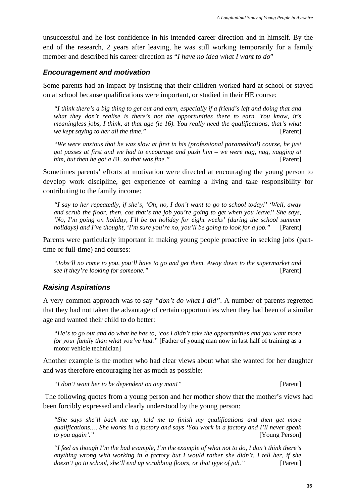unsuccessful and he lost confidence in his intended career direction and in himself. By the end of the research, 2 years after leaving, he was still working temporarily for a family member and described his career direction as "*I have no idea what I want to do*"

#### *Encouragement and motivation*

Some parents had an impact by insisting that their children worked hard at school or stayed on at school because qualifications were important, or studied in their HE course:

*"I think there's a big thing to get out and earn, especially if a friend's left and doing that and what they don't realise is there's not the opportunities there to earn. You know, it's meaningless jobs, I think, at that age (ie 16). You really need the qualifications, that's what we kept saying to her all the time."* [Parent]

*"We were anxious that he was slow at first in his (professional paramedical) course, he just got passes at first and we had to encourage and push him – we were nag, nag, nagging at him, but then he got a B1, so that was fine.*" [Parent]

Sometimes parents' efforts at motivation were directed at encouraging the young person to develop work discipline, get experience of earning a living and take responsibility for contributing to the family income:

*"I say to her repeatedly, if she's, 'Oh, no, I don't want to go to school today!' 'Well, away and scrub the floor, then, cos that's the job you're going to get when you leave!' She says, 'No, I'm going on holiday, I'll be on holiday for eight weeks' (during the school summer holidays) and I've thought, 'I'm sure you're no, you'll be going to look for a job."* [Parent]

Parents were particularly important in making young people proactive in seeking jobs (parttime or full-time) and courses:

*"Jobs'll no come to you, you'll have to go and get them. Away down to the supermarket and see if they're looking for someone."* [Parent]

#### *Raising Aspirations*

A very common approach was to say *"don't do what I did"*. A number of parents regretted that they had not taken the advantage of certain opportunities when they had been of a similar age and wanted their child to do better:

*"He's to go out and do what he has to, 'cos I didn't take the opportunities and you want more for your family than what you've had."* [Father of young man now in last half of training as a motor vehicle technician]

Another example is the mother who had clear views about what she wanted for her daughter and was therefore encouraging her as much as possible:

*"I don't want her to be dependent on any man!"* [Parent]

 The following quotes from a young person and her mother show that the mother's views had been forcibly expressed and clearly understood by the young person:

*"She says she'll back me up, told me to finish my qualifications and then get more qualifications…. She works in a factory and says 'You work in a factory and I'll never speak to you again'."* [Young Person]

*"I feel as though I'm the bad example, I'm the example of what not to do, I don't think there's anything wrong with working in a factory but I would rather she didn't. I tell her, if she doesn't go to school, she'll end up scrubbing floors, or that type of job."* [Parent]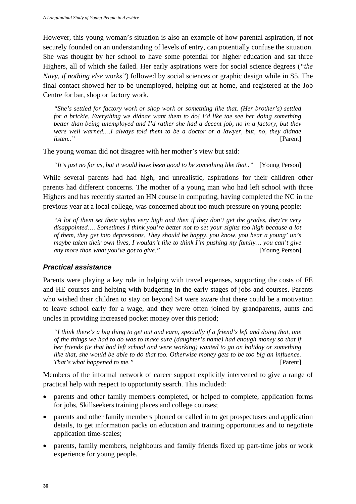However, this young woman's situation is also an example of how parental aspiration, if not securely founded on an understanding of levels of entry, can potentially confuse the situation. She was thought by her school to have some potential for higher education and sat three Highers, all of which she failed. Her early aspirations were for social science degrees (*"the Navy, if nothing else works"*) followed by social sciences or graphic design while in S5. The final contact showed her to be unemployed, helping out at home, and registered at the Job Centre for bar, shop or factory work.

*"She's settled for factory work or shop work or something like that. (Her brother's) settled for a brickie. Everything we didnae want them to do! I'd like tae see her doing something better than being unemployed and I'd rather she had a decent job, no in a factory, but they were well warned….I always told them to be a doctor or a lawyer, but, no, they didnae listen.."* [Parent]

The young woman did not disagree with her mother's view but said:

*"It's just no for us, but it would have been good to be something like that.."* [Young Person]

While several parents had had high, and unrealistic, aspirations for their children other parents had different concerns. The mother of a young man who had left school with three Highers and has recently started an HN course in computing, having completed the NC in the previous year at a local college, was concerned about too much pressure on young people:

*"A lot of them set their sights very high and then if they don't get the grades, they're very disappointed…. Sometimes I think you're better not to set your sights too high because a lot of them, they get into depressions. They should be happy, you know, you hear a young' un's maybe taken their own lives, I wouldn't like to think I'm pushing my family… you can't give any more than what you've got to give."* [Young Person]

# *Practical assistance*

Parents were playing a key role in helping with travel expenses, supporting the costs of FE and HE courses and helping with budgeting in the early stages of jobs and courses. Parents who wished their children to stay on beyond S4 were aware that there could be a motivation to leave school early for a wage, and they were often joined by grandparents, aunts and uncles in providing increased pocket money over this period;

*"I think there's a big thing to get out and earn, specially if a friend's left and doing that, one of the things we had to do was to make sure (daughter's name) had enough money so that if her friends (ie that had left school and were working) wanted to go on holiday or something like that, she would be able to do that too. Otherwise money gets to be too big an influence. That's what happened to me."* [Parent]

Members of the informal network of career support explicitly intervened to give a range of practical help with respect to opportunity search. This included:

- parents and other family members completed, or helped to complete, application forms for jobs, Skillseekers training places and college courses;
- parents and other family members phoned or called in to get prospectuses and application details, to get information packs on education and training opportunities and to negotiate application time-scales;
- parents, family members, neighbours and family friends fixed up part-time jobs or work experience for young people.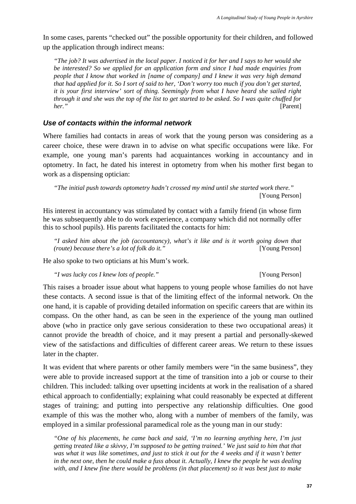In some cases, parents "checked out" the possible opportunity for their children, and followed up the application through indirect means:

*"The job? It was advertised in the local paper. I noticed it for her and I says to her would she be interested? So we applied for an application form and since I had made enquiries from people that I know that worked in [name of company] and I knew it was very high demand that had applied for it. So I sort of said to her, 'Don't worry too much if you don't get started, it is your first interview' sort of thing. Seemingly from what I have heard she sailed right through it and she was the top of the list to get started to be asked. So I was quite chuffed for her."* [Parent]

#### *Use of contacts within the informal network*

Where families had contacts in areas of work that the young person was considering as a career choice, these were drawn in to advise on what specific occupations were like. For example, one young man's parents had acquaintances working in accountancy and in optometry. In fact, he dated his interest in optometry from when his mother first began to work as a dispensing optician:

*"The initial push towards optometry hadn't crossed my mind until she started work there."*  [Young Person]

His interest in accountancy was stimulated by contact with a family friend (in whose firm he was subsequently able to do work experience, a company which did not normally offer this to school pupils). His parents facilitated the contacts for him:

*"I asked him about the job (accountancy), what's it like and is it worth going down that (route) because there's a lot of folk do it."* [Young Person]

He also spoke to two opticians at his Mum's work.

*"I was lucky cos I knew lots of people."* [Young Person]

This raises a broader issue about what happens to young people whose families do not have these contacts. A second issue is that of the limiting effect of the informal network. On the one hand, it is capable of providing detailed information on specific careers that are within its compass. On the other hand, as can be seen in the experience of the young man outlined above (who in practice only gave serious consideration to these two occupational areas) it cannot provide the breadth of choice, and it may present a partial and personally-skewed view of the satisfactions and difficulties of different career areas. We return to these issues later in the chapter.

It was evident that where parents or other family members were "in the same business", they were able to provide increased support at the time of transition into a job or course to their children. This included: talking over upsetting incidents at work in the realisation of a shared ethical approach to confidentially; explaining what could reasonably be expected at different stages of training; and putting into perspective any relationship difficulties. One good example of this was the mother who, along with a number of members of the family, was employed in a similar professional paramedical role as the young man in our study:

*"One of his placements, he came back and said, 'I'm no learning anything here, I'm just getting treated like a skivvy, I'm supposed to be getting trained.' We just said to him that that was what it was like sometimes, and just to stick it out for the 4 weeks and if it wasn't better in the next one, then he could make a fuss about it. Actually, I knew the people he was dealing with, and I knew fine there would be problems (in that placement) so it was best just to make*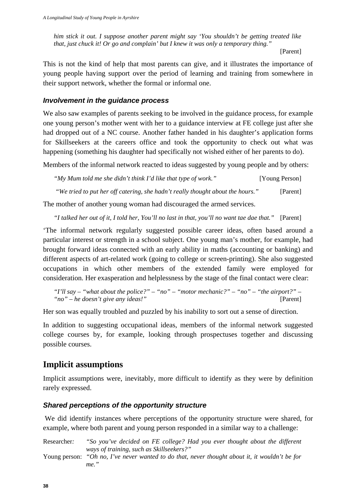*him stick it out. I suppose another parent might say 'You shouldn't be getting treated like that, just chuck it! Or go and complain' but I knew it was only a temporary thing."* 

[Parent]

This is not the kind of help that most parents can give, and it illustrates the importance of young people having support over the period of learning and training from somewhere in their support network, whether the formal or informal one.

## *Involvement in the guidance process*

We also saw examples of parents seeking to be involved in the guidance process, for example one young person's mother went with her to a guidance interview at FE college just after she had dropped out of a NC course. Another father handed in his daughter's application forms for Skillseekers at the careers office and took the opportunity to check out what was happening (something his daughter had specifically not wished either of her parents to do).

Members of the informal network reacted to ideas suggested by young people and by others:

*"My Mum told me she didn't think I'd like that type of work."* [Young Person]  *"We tried to put her off catering, she hadn't really thought about the hours."* [Parent]

The mother of another young woman had discouraged the armed services.

*"I talked her out of it, I told her, You'll no last in that, you'll no want tae dae that."* [Parent]

'The informal network regularly suggested possible career ideas, often based around a particular interest or strength in a school subject. One young man's mother, for example, had brought forward ideas connected with an early ability in maths (accounting or banking) and different aspects of art-related work (going to college or screen-printing). She also suggested occupations in which other members of the extended family were employed for consideration. Her exasperation and helplessness by the stage of the final contact were clear:

*"I'll say – "what about the police?" – "no" – "motor mechanic?" – "no" – "the airport?" – "no" – he doesn't give any ideas!"* [Parent]

Her son was equally troubled and puzzled by his inability to sort out a sense of direction.

In addition to suggesting occupational ideas, members of the informal network suggested college courses by, for example, looking through prospectuses together and discussing possible courses.

# **Implicit assumptions**

Implicit assumptions were, inevitably, more difficult to identify as they were by definition rarely expressed.

# *Shared perceptions of the opportunity structure*

 We did identify instances where perceptions of the opportunity structure were shared, for example, where both parent and young person responded in a similar way to a challenge:

Researcher*: "So you've decided on FE college? Had you ever thought about the different ways of training, such as Skillseekers?"* 

Young person: *"Oh no, I've never wanted to do that, never thought about it, it wouldn't be for me."*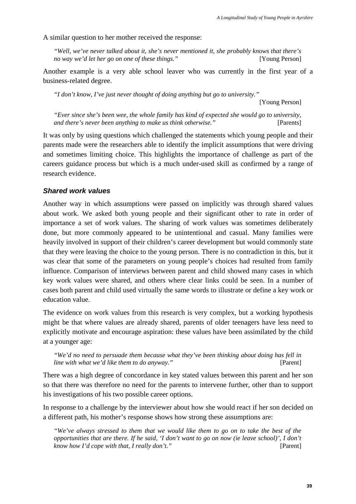A similar question to her mother received the response:

*"Well, we've never talked about it, she's never mentioned it, she probably knows that there's no way we'd let her go on one of these things."* [Young Person]

Another example is a very able school leaver who was currently in the first year of a business-related degree.

*"I don't know, I've just never thought of doing anything but go to university*.*"* 

[Young Person]

*"Ever since she's been wee, the whole family has kind of expected she would go to university, and there's never been anything to make us think otherwise."* [Parents]

It was only by using questions which challenged the statements which young people and their parents made were the researchers able to identify the implicit assumptions that were driving and sometimes limiting choice. This highlights the importance of challenge as part of the careers guidance process but which is a much under-used skill as confirmed by a range of research evidence.

#### *Shared work values*

Another way in which assumptions were passed on implicitly was through shared values about work. We asked both young people and their significant other to rate in order of importance a set of work values. The sharing of work values was sometimes deliberately done, but more commonly appeared to be unintentional and casual. Many families were heavily involved in support of their children's career development but would commonly state that they were leaving the choice to the young person. There is no contradiction in this, but it was clear that some of the parameters on young people's choices had resulted from family influence. Comparison of interviews between parent and child showed many cases in which key work values were shared, and others where clear links could be seen. In a number of cases both parent and child used virtually the same words to illustrate or define a key work or education value.

The evidence on work values from this research is very complex, but a working hypothesis might be that where values are already shared, parents of older teenagers have less need to explicitly motivate and encourage aspiration: these values have been assimilated by the child at a younger age:

*"We'd no need to persuade them because what they've been thinking about doing has fell in line with what we'd like them to do anyway.*" [Parent]

There was a high degree of concordance in key stated values between this parent and her son so that there was therefore no need for the parents to intervene further, other than to support his investigations of his two possible career options.

In response to a challenge by the interviewer about how she would react if her son decided on a different path, his mother's response shows how strong these assumptions are:

*"We've always stressed to them that we would like them to go on to take the best of the opportunities that are there. If he said, 'I don't want to go on now (ie leave school)', I don't know how I'd cope with that, I really don't."* [Parent]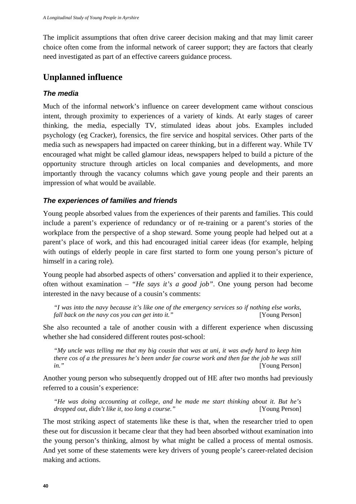The implicit assumptions that often drive career decision making and that may limit career choice often come from the informal network of career support; they are factors that clearly need investigated as part of an effective careers guidance process.

# **Unplanned influence**

## *The media*

Much of the informal network's influence on career development came without conscious intent, through proximity to experiences of a variety of kinds. At early stages of career thinking, the media, especially TV, stimulated ideas about jobs. Examples included psychology (eg Cracker), forensics, the fire service and hospital services. Other parts of the media such as newspapers had impacted on career thinking, but in a different way. While TV encouraged what might be called glamour ideas, newspapers helped to build a picture of the opportunity structure through articles on local companies and developments, and more importantly through the vacancy columns which gave young people and their parents an impression of what would be available.

## *The experiences of families and friends*

Young people absorbed values from the experiences of their parents and families. This could include a parent's experience of redundancy or of re-training or a parent's stories of the workplace from the perspective of a shop steward. Some young people had helped out at a parent's place of work, and this had encouraged initial career ideas (for example, helping with outings of elderly people in care first started to form one young person's picture of himself in a caring role).

Young people had absorbed aspects of others' conversation and applied it to their experience, often without examination – *"He says it's a good job"*. One young person had become interested in the navy because of a cousin's comments:

*"I was into the navy because it's like one of the emergency services so if nothing else works, fall back on the navy cos you can get into it."* [Young Person]

She also recounted a tale of another cousin with a different experience when discussing whether she had considered different routes post-school:

*"My uncle was telling me that my big cousin that was at uni, it was awfy hard to keep him there cos of a the pressures he's been under fae course work and then fae the job he was still in."* [Young Person]

Another young person who subsequently dropped out of HE after two months had previously referred to a cousin's experience:

*"He was doing accounting at college, and he made me start thinking about it. But he's dropped out, didn't like it, too long a course."* [Young Person]

The most striking aspect of statements like these is that, when the researcher tried to open these out for discussion it became clear that they had been absorbed without examination into the young person's thinking, almost by what might be called a process of mental osmosis. And yet some of these statements were key drivers of young people's career-related decision making and actions.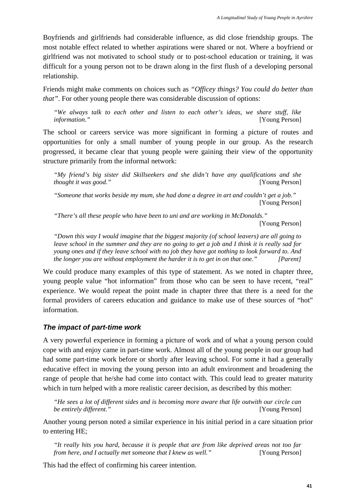Boyfriends and girlfriends had considerable influence, as did close friendship groups. The most notable effect related to whether aspirations were shared or not. Where a boyfriend or girlfriend was not motivated to school study or to post-school education or training, it was difficult for a young person not to be drawn along in the first flush of a developing personal relationship.

Friends might make comments on choices such as *"Officey things? You could do better than that"*. For other young people there was considerable discussion of options:

*"We always talk to each other and listen to each other's ideas, we share stuff, like information."* [Young Person]

The school or careers service was more significant in forming a picture of routes and opportunities for only a small number of young people in our group. As the research progressed, it became clear that young people were gaining their view of the opportunity structure primarily from the informal network:

*"My friend's big sister did Skillseekers and she didn't have any qualifications and she thought it was good."* [Young Person]

*"Someone that works beside my mum, she had done a degree in art and couldn't get a job."*  [Young Person]

*"There's all these people who have been to uni and are working in McDonalds."* 

[Young Person]

*"Down this way I would imagine that the biggest majority (of school leavers) are all going to leave school in the summer and they are no going to get a job and I think it is really sad for young ones and if they leave school with no job they have got nothing to look forward to. And the longer you are without employment the harder it is to get in on that one." [Parent]* 

We could produce many examples of this type of statement. As we noted in chapter three, young people value "hot information" from those who can be seen to have recent, "real" experience. We would repeat the point made in chapter three that there is a need for the formal providers of careers education and guidance to make use of these sources of "hot" information.

## *The impact of part-time work*

A very powerful experience in forming a picture of work and of what a young person could cope with and enjoy came in part-time work. Almost all of the young people in our group had had some part-time work before or shortly after leaving school. For some it had a generally educative effect in moving the young person into an adult environment and broadening the range of people that he/she had come into contact with. This could lead to greater maturity which in turn helped with a more realistic career decision, as described by this mother:

*"He sees a lot of different sides and is becoming more aware that life outwith our circle can be entirely different."* [Young Person]

Another young person noted a similar experience in his initial period in a care situation prior to entering HE;

*"It really hits you hard, because it is people that are from like deprived areas not too far from here, and I actually met someone that I knew as well."* [Young Person]

This had the effect of confirming his career intention.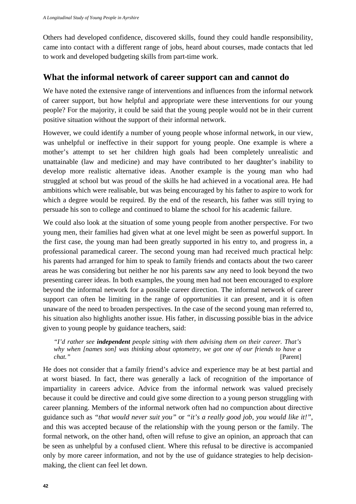Others had developed confidence, discovered skills, found they could handle responsibility, came into contact with a different range of jobs, heard about courses, made contacts that led to work and developed budgeting skills from part-time work.

# **What the informal network of career support can and cannot do**

We have noted the extensive range of interventions and influences from the informal network of career support, but how helpful and appropriate were these interventions for our young people? For the majority, it could be said that the young people would not be in their current positive situation without the support of their informal network.

However, we could identify a number of young people whose informal network, in our view, was unhelpful or ineffective in their support for young people. One example is where a mother's attempt to set her children high goals had been completely unrealistic and unattainable (law and medicine) and may have contributed to her daughter's inability to develop more realistic alternative ideas. Another example is the young man who had struggled at school but was proud of the skills he had achieved in a vocational area. He had ambitions which were realisable, but was being encouraged by his father to aspire to work for which a degree would be required. By the end of the research, his father was still trying to persuade his son to college and continued to blame the school for his academic failure.

We could also look at the situation of some young people from another perspective. For two young men, their families had given what at one level might be seen as powerful support. In the first case, the young man had been greatly supported in his entry to, and progress in, a professional paramedical career. The second young man had received much practical help: his parents had arranged for him to speak to family friends and contacts about the two career areas he was considering but neither he nor his parents saw any need to look beyond the two presenting career ideas. In both examples, the young men had not been encouraged to explore beyond the informal network for a possible career direction. The informal network of career support can often be limiting in the range of opportunities it can present, and it is often unaware of the need to broaden perspectives. In the case of the second young man referred to, his situation also highlights another issue. His father, in discussing possible bias in the advice given to young people by guidance teachers, said:

*"I'd rather see independent people sitting with them advising them on their career. That's why when [names son] was thinking about optometry, we got one of our friends to have a chat."* [Parent]

He does not consider that a family friend's advice and experience may be at best partial and at worst biased. In fact, there was generally a lack of recognition of the importance of impartiality in careers advice. Advice from the informal network was valued precisely because it could be directive and could give some direction to a young person struggling with career planning. Members of the informal network often had no compunction about directive guidance such as *"that would never suit you"* or *"it's a really good job, you would like it!"*, and this was accepted because of the relationship with the young person or the family. The formal network, on the other hand, often will refuse to give an opinion, an approach that can be seen as unhelpful by a confused client. Where this refusal to be directive is accompanied only by more career information, and not by the use of guidance strategies to help decisionmaking, the client can feel let down.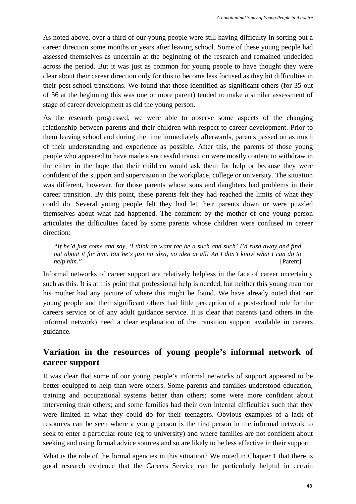As noted above, over a third of our young people were still having difficulty in sorting out a career direction some months or years after leaving school. Some of these young people had assessed themselves as uncertain at the beginning of the research and remained undecided across the period. But it was just as common for young people to have thought they were clear about their career direction only for this to become less focused as they hit difficulties in their post-school transitions. We found that those identified as significant others (for 35 out of 36 at the beginning this was one or more parent) tended to make a similar assessment of stage of career development as did the young person.

As the research progressed, we were able to observe some aspects of the changing relationship between parents and their children with respect to career development. Prior to them leaving school and during the time immediately afterwards, parents passed on as much of their understanding and experience as possible. After this, the parents of those young people who appeared to have made a successful transition were mostly content to withdraw in the either in the hope that their children would ask them for help or because they were confident of the support and supervision in the workplace, college or university. The situation was different, however, for those parents whose sons and daughters had problems in their career transition. By this point, these parents felt they had reached the limits of what they could do. Several young people felt they had let their parents down or were puzzled themselves about what had happened. The comment by the mother of one young person articulates the difficulties faced by some parents whose children were confused in career direction:

*"If he'd just come and say, 'I think ah want tae be a such and such' I'd rush away and find out about it for him. But he's just no idea, no idea at all! An I don't know what I can do to help him."* [Parent]

Informal networks of career support are relatively helpless in the face of career uncertainty such as this. It is at this point that professional help is needed, but neither this young man nor his mother had any picture of where this might be found. We have already noted that our young people and their significant others had little perception of a post-school role for the careers service or of any adult guidance service. It is clear that parents (and others in the informal network) need a clear explanation of the transition support available in careers guidance.

# **Variation in the resources of young people's informal network of career support**

It was clear that some of our young people's informal networks of support appeared to be better equipped to help than were others. Some parents and families understood education, training and occupational systems better than others; some were more confident about intervening than others; and some families had their own internal difficulties such that they were limited in what they could do for their teenagers. Obvious examples of a lack of resources can be seen where a young person is the first person in the informal network to seek to enter a particular route (eg to university) and where families are not confident about seeking and using formal advice sources and so are likely to be less effective in their support.

What is the role of the formal agencies in this situation? We noted in Chapter 1 that there is good research evidence that the Careers Service can be particularly helpful in certain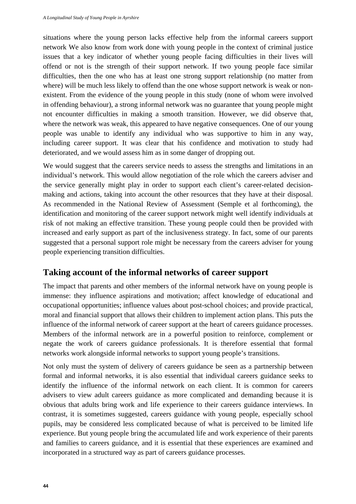situations where the young person lacks effective help from the informal careers support network We also know from work done with young people in the context of criminal justice issues that a key indicator of whether young people facing difficulties in their lives will offend or not is the strength of their support network. If two young people face similar difficulties, then the one who has at least one strong support relationship (no matter from where) will be much less likely to offend than the one whose support network is weak or nonexistent. From the evidence of the young people in this study (none of whom were involved in offending behaviour), a strong informal network was no guarantee that young people might not encounter difficulties in making a smooth transition. However, we did observe that, where the network was weak, this appeared to have negative consequences. One of our young people was unable to identify any individual who was supportive to him in any way, including career support. It was clear that his confidence and motivation to study had deteriorated, and we would assess him as in some danger of dropping out.

We would suggest that the careers service needs to assess the strengths and limitations in an individual's network. This would allow negotiation of the role which the careers adviser and the service generally might play in order to support each client's career-related decisionmaking and actions, taking into account the other resources that they have at their disposal. As recommended in the National Review of Assessment (Semple et al forthcoming), the identification and monitoring of the career support network might well identify individuals at risk of not making an effective transition. These young people could then be provided with increased and early support as part of the inclusiveness strategy. In fact, some of our parents suggested that a personal support role might be necessary from the careers adviser for young people experiencing transition difficulties.

# **Taking account of the informal networks of career support**

The impact that parents and other members of the informal network have on young people is immense: they influence aspirations and motivation; affect knowledge of educational and occupational opportunities; influence values about post-school choices; and provide practical, moral and financial support that allows their children to implement action plans. This puts the influence of the informal network of career support at the heart of careers guidance processes. Members of the informal network are in a powerful position to reinforce, complement or negate the work of careers guidance professionals. It is therefore essential that formal networks work alongside informal networks to support young people's transitions.

Not only must the system of delivery of careers guidance be seen as a partnership between formal and informal networks, it is also essential that individual careers guidance seeks to identify the influence of the informal network on each client. It is common for careers advisers to view adult careers guidance as more complicated and demanding because it is obvious that adults bring work and life experience to their careers guidance interviews. In contrast, it is sometimes suggested, careers guidance with young people, especially school pupils, may be considered less complicated because of what is perceived to be limited life experience. But young people bring the accumulated life and work experience of their parents and families to careers guidance, and it is essential that these experiences are examined and incorporated in a structured way as part of careers guidance processes.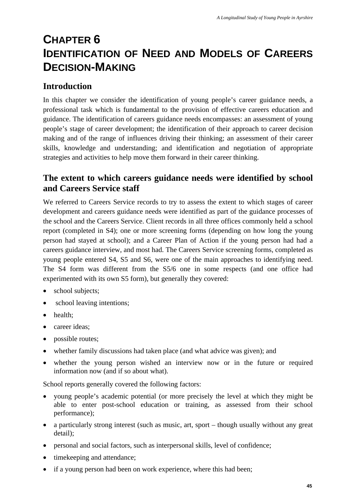# **CHAPTER 6 IDENTIFICATION OF NEED AND MODELS OF CAREERS DECISION-MAKING**

# **Introduction**

In this chapter we consider the identification of young people's career guidance needs, a professional task which is fundamental to the provision of effective careers education and guidance. The identification of careers guidance needs encompasses: an assessment of young people's stage of career development; the identification of their approach to career decision making and of the range of influences driving their thinking; an assessment of their career skills, knowledge and understanding; and identification and negotiation of appropriate strategies and activities to help move them forward in their career thinking.

# **The extent to which careers guidance needs were identified by school and Careers Service staff**

We referred to Careers Service records to try to assess the extent to which stages of career development and careers guidance needs were identified as part of the guidance processes of the school and the Careers Service. Client records in all three offices commonly held a school report (completed in S4); one or more screening forms (depending on how long the young person had stayed at school); and a Career Plan of Action if the young person had had a careers guidance interview, and most had. The Careers Service screening forms, completed as young people entered S4, S5 and S6, were one of the main approaches to identifying need. The S4 form was different from the S5/6 one in some respects (and one office had experimented with its own S5 form), but generally they covered:

- school subjects;
- school leaving intentions;
- health:
- career ideas:
- possible routes;
- whether family discussions had taken place (and what advice was given); and
- whether the young person wished an interview now or in the future or required information now (and if so about what).

School reports generally covered the following factors:

- young people's academic potential (or more precisely the level at which they might be able to enter post-school education or training, as assessed from their school performance);
- a particularly strong interest (such as music, art, sport though usually without any great detail);
- personal and social factors, such as interpersonal skills, level of confidence;
- timekeeping and attendance;
- if a young person had been on work experience, where this had been;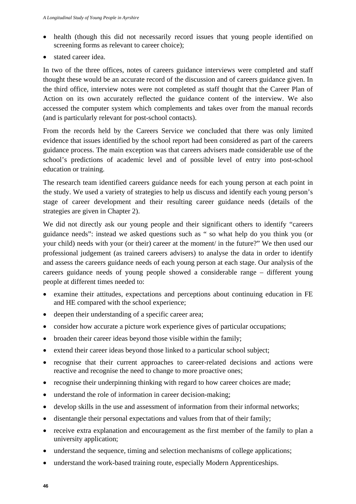- health (though this did not necessarily record issues that young people identified on screening forms as relevant to career choice);
- stated career idea.

In two of the three offices, notes of careers guidance interviews were completed and staff thought these would be an accurate record of the discussion and of careers guidance given. In the third office, interview notes were not completed as staff thought that the Career Plan of Action on its own accurately reflected the guidance content of the interview. We also accessed the computer system which complements and takes over from the manual records (and is particularly relevant for post-school contacts).

From the records held by the Careers Service we concluded that there was only limited evidence that issues identified by the school report had been considered as part of the careers guidance process. The main exception was that careers advisers made considerable use of the school's predictions of academic level and of possible level of entry into post-school education or training.

The research team identified careers guidance needs for each young person at each point in the study. We used a variety of strategies to help us discuss and identify each young person's stage of career development and their resulting career guidance needs (details of the strategies are given in Chapter 2).

We did not directly ask our young people and their significant others to identify "careers guidance needs": instead we asked questions such as " so what help do you think you (or your child) needs with your (or their) career at the moment/ in the future?" We then used our professional judgement (as trained careers advisers) to analyse the data in order to identify and assess the careers guidance needs of each young person at each stage. Our analysis of the careers guidance needs of young people showed a considerable range – different young people at different times needed to:

- examine their attitudes, expectations and perceptions about continuing education in FE and HE compared with the school experience;
- deepen their understanding of a specific career area;
- consider how accurate a picture work experience gives of particular occupations;
- broaden their career ideas beyond those visible within the family;
- extend their career ideas beyond those linked to a particular school subject;
- recognise that their current approaches to career-related decisions and actions were reactive and recognise the need to change to more proactive ones;
- recognise their underpinning thinking with regard to how career choices are made;
- understand the role of information in career decision-making;
- develop skills in the use and assessment of information from their informal networks;
- disentangle their personal expectations and values from that of their family;
- receive extra explanation and encouragement as the first member of the family to plan a university application;
- understand the sequence, timing and selection mechanisms of college applications;
- understand the work-based training route, especially Modern Apprenticeships.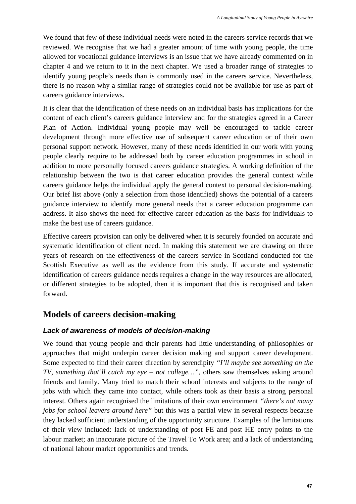We found that few of these individual needs were noted in the careers service records that we reviewed. We recognise that we had a greater amount of time with young people, the time allowed for vocational guidance interviews is an issue that we have already commented on in chapter 4 and we return to it in the next chapter. We used a broader range of strategies to identify young people's needs than is commonly used in the careers service. Nevertheless, there is no reason why a similar range of strategies could not be available for use as part of careers guidance interviews.

It is clear that the identification of these needs on an individual basis has implications for the content of each client's careers guidance interview and for the strategies agreed in a Career Plan of Action. Individual young people may well be encouraged to tackle career development through more effective use of subsequent career education or of their own personal support network. However, many of these needs identified in our work with young people clearly require to be addressed both by career education programmes in school in addition to more personally focused careers guidance strategies. A working definition of the relationship between the two is that career education provides the general context while careers guidance helps the individual apply the general context to personal decision-making. Our brief list above (only a selection from those identified) shows the potential of a careers guidance interview to identify more general needs that a career education programme can address. It also shows the need for effective career education as the basis for individuals to make the best use of careers guidance.

Effective careers provision can only be delivered when it is securely founded on accurate and systematic identification of client need. In making this statement we are drawing on three years of research on the effectiveness of the careers service in Scotland conducted for the Scottish Executive as well as the evidence from this study. If accurate and systematic identification of careers guidance needs requires a change in the way resources are allocated, or different strategies to be adopted, then it is important that this is recognised and taken forward.

# **Models of careers decision-making**

## *Lack of awareness of models of decision-making*

We found that young people and their parents had little understanding of philosophies or approaches that might underpin career decision making and support career development. Some expected to find their career direction by serendipity *"I'll maybe see something on the TV, something that'll catch my eye – not college…"*, others saw themselves asking around friends and family. Many tried to match their school interests and subjects to the range of jobs with which they came into contact, while others took as their basis a strong personal interest. Others again recognised the limitations of their own environment *"there's not many jobs for school leavers around here"* but this was a partial view in several respects because they lacked sufficient understanding of the opportunity structure. Examples of the limitations of their view included: lack of understanding of post FE and post HE entry points to the labour market; an inaccurate picture of the Travel To Work area; and a lack of understanding of national labour market opportunities and trends.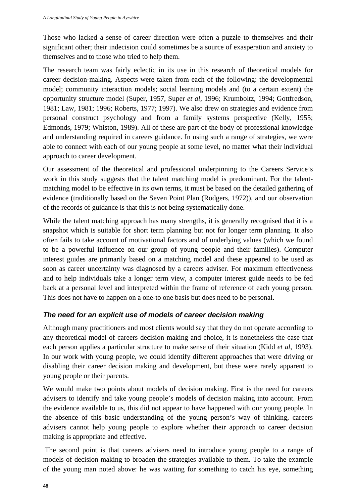Those who lacked a sense of career direction were often a puzzle to themselves and their significant other; their indecision could sometimes be a source of exasperation and anxiety to themselves and to those who tried to help them.

The research team was fairly eclectic in its use in this research of theoretical models for career decision-making. Aspects were taken from each of the following: the developmental model; community interaction models; social learning models and (to a certain extent) the opportunity structure model (Super, 1957, Super *et al*, 1996; Krumboltz, 1994; Gottfredson, 1981; Law, 1981; 1996; Roberts, 1977; 1997). We also drew on strategies and evidence from personal construct psychology and from a family systems perspective (Kelly, 1955; Edmonds, 1979; Whiston, 1989). All of these are part of the body of professional knowledge and understanding required in careers guidance. In using such a range of strategies, we were able to connect with each of our young people at some level, no matter what their individual approach to career development.

Our assessment of the theoretical and professional underpinning to the Careers Service's work in this study suggests that the talent matching model is predominant. For the talentmatching model to be effective in its own terms, it must be based on the detailed gathering of evidence (traditionally based on the Seven Point Plan (Rodgers, 1972)), and our observation of the records of guidance is that this is not being systematically done.

While the talent matching approach has many strengths, it is generally recognised that it is a snapshot which is suitable for short term planning but not for longer term planning. It also often fails to take account of motivational factors and of underlying values (which we found to be a powerful influence on our group of young people and their families). Computer interest guides are primarily based on a matching model and these appeared to be used as soon as career uncertainty was diagnosed by a careers adviser. For maximum effectiveness and to help individuals take a longer term view, a computer interest guide needs to be fed back at a personal level and interpreted within the frame of reference of each young person. This does not have to happen on a one-to one basis but does need to be personal.

# *The need for an explicit use of models of career decision making*

Although many practitioners and most clients would say that they do not operate according to any theoretical model of careers decision making and choice, it is nonetheless the case that each person applies a particular structure to make sense of their situation (Kidd *et al*, 1993). In our work with young people, we could identify different approaches that were driving or disabling their career decision making and development, but these were rarely apparent to young people or their parents.

We would make two points about models of decision making. First is the need for careers advisers to identify and take young people's models of decision making into account. From the evidence available to us, this did not appear to have happened with our young people. In the absence of this basic understanding of the young person's way of thinking, careers advisers cannot help young people to explore whether their approach to career decision making is appropriate and effective.

 The second point is that careers advisers need to introduce young people to a range of models of decision making to broaden the strategies available to them. To take the example of the young man noted above: he was waiting for something to catch his eye, something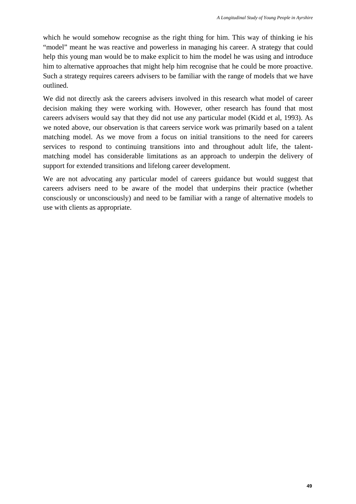which he would somehow recognise as the right thing for him. This way of thinking ie his "model" meant he was reactive and powerless in managing his career. A strategy that could help this young man would be to make explicit to him the model he was using and introduce him to alternative approaches that might help him recognise that he could be more proactive. Such a strategy requires careers advisers to be familiar with the range of models that we have outlined.

We did not directly ask the careers advisers involved in this research what model of career decision making they were working with. However, other research has found that most careers advisers would say that they did not use any particular model (Kidd et al, 1993). As we noted above, our observation is that careers service work was primarily based on a talent matching model. As we move from a focus on initial transitions to the need for careers services to respond to continuing transitions into and throughout adult life, the talentmatching model has considerable limitations as an approach to underpin the delivery of support for extended transitions and lifelong career development.

We are not advocating any particular model of careers guidance but would suggest that careers advisers need to be aware of the model that underpins their practice (whether consciously or unconsciously) and need to be familiar with a range of alternative models to use with clients as appropriate.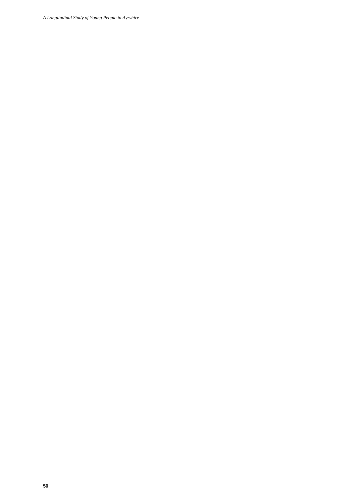*A Longitudinal Study of Young People in Ayrshire*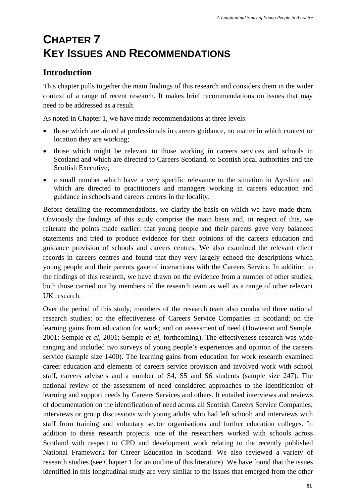# **CHAPTER 7 KEY ISSUES AND RECOMMENDATIONS**

# **Introduction**

This chapter pulls together the main findings of this research and considers them in the wider context of a range of recent research. It makes brief recommendations on issues that may need to be addressed as a result.

As noted in Chapter 1, we have made recommendations at three levels:

- those which are aimed at professionals in careers guidance, no matter in which context or location they are working;
- those which might be relevant to those working in careers services and schools in Scotland and which are directed to Careers Scotland, to Scottish local authorities and the Scottish Executive;
- a small number which have a very specific relevance to the situation in Ayrshire and which are directed to practitioners and managers working in careers education and guidance in schools and careers centres in the locality.

Before detailing the recommendations, we clarify the basis on which we have made them. Obviously the findings of this study comprise the main basis and, in respect of this, we reiterate the points made earlier: that young people and their parents gave very balanced statements and tried to produce evidence for their opinions of the careers education and guidance provision of schools and careers centres. We also examined the relevant client records in careers centres and found that they very largely echoed the descriptions which young people and their parents gave of interactions with the Careers Service. In addition to the findings of this research, we have drawn on the evidence from a number of other studies, both those carried out by members of the research team as well as a range of other relevant UK research.

Over the period of this study, members of the research team also conducted three national research studies: on the effectiveness of Careers Service Companies in Scotland; on the learning gains from education for work; and on assessment of need (Howieson and Semple, 2001; Semple *et al*, 2001; Semple *et al*, forthcoming). The effectiveness research was wide ranging and included two surveys of young people's experiences and opinion of the careers service (sample size 1400). The learning gains from education for work research examined career education and elements of careers service provision and involved work with school staff, careers advisers and a number of S4, S5 and S6 students (sample size 247). The national review of the assessment of need considered approaches to the identification of learning and support needs by Careers Services and others. It entailed interviews and reviews of documentation on the identification of need across all Scottish Careers Service Companies; interviews or group discussions with young adults who had left school; and interviews with staff from training and voluntary sector organisations and further education colleges. In addition to these research projects. one of the researchers worked with schools across Scotland with respect to CPD and development work relating to the recently published National Framework for Career Education in Scotland. We also reviewed a variety of research studies (see Chapter 1 for an outline of this literature). We have found that the issues identified in this longitudinal study are very similar to the issues that emerged from the other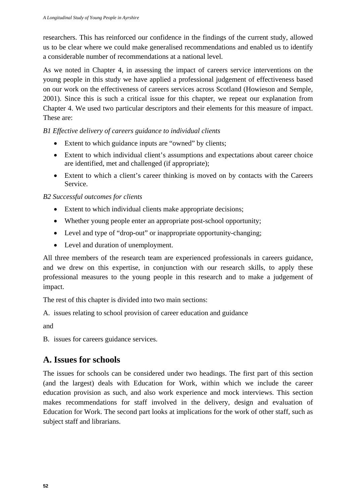researchers. This has reinforced our confidence in the findings of the current study, allowed us to be clear where we could make generalised recommendations and enabled us to identify a considerable number of recommendations at a national level.

As we noted in Chapter 4, in assessing the impact of careers service interventions on the young people in this study we have applied a professional judgement of effectiveness based on our work on the effectiveness of careers services across Scotland (Howieson and Semple, 2001). Since this is such a critical issue for this chapter, we repeat our explanation from Chapter 4. We used two particular descriptors and their elements for this measure of impact. These are:

# *B1 Effective delivery of careers guidance to individual clients*

- Extent to which guidance inputs are "owned" by clients:
- Extent to which individual client's assumptions and expectations about career choice are identified, met and challenged (if appropriate);
- Extent to which a client's career thinking is moved on by contacts with the Careers Service.

# *B2 Successful outcomes for clients*

- Extent to which individual clients make appropriate decisions;
- Whether young people enter an appropriate post-school opportunity;
- Level and type of "drop-out" or inappropriate opportunity-changing:
- Level and duration of unemployment.

All three members of the research team are experienced professionals in careers guidance, and we drew on this expertise, in conjunction with our research skills, to apply these professional measures to the young people in this research and to make a judgement of impact.

The rest of this chapter is divided into two main sections:

A. issues relating to school provision of career education and guidance

and

B. issues for careers guidance services.

# **A. Issues for schools**

The issues for schools can be considered under two headings. The first part of this section (and the largest) deals with Education for Work, within which we include the career education provision as such, and also work experience and mock interviews. This section makes recommendations for staff involved in the delivery, design and evaluation of Education for Work. The second part looks at implications for the work of other staff, such as subject staff and librarians.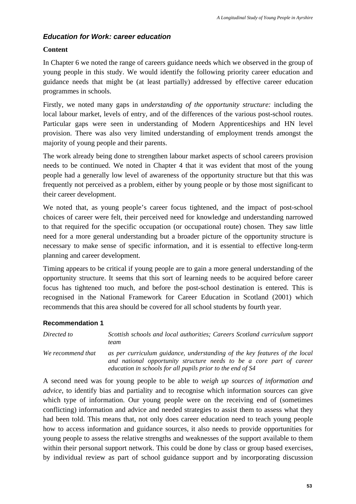# *Education for Work: career education*

## **Content**

In Chapter 6 we noted the range of careers guidance needs which we observed in the group of young people in this study. We would identify the following priority career education and guidance needs that might be (at least partially) addressed by effective career education programmes in schools.

Firstly, we noted many gaps in *understanding of the opportunity structure:* including the local labour market, levels of entry, and of the differences of the various post-school routes. Particular gaps were seen in understanding of Modern Apprenticeships and HN level provision. There was also very limited understanding of employment trends amongst the majority of young people and their parents.

The work already being done to strengthen labour market aspects of school careers provision needs to be continued. We noted in Chapter 4 that it was evident that most of the young people had a generally low level of awareness of the opportunity structure but that this was frequently not perceived as a problem, either by young people or by those most significant to their career development.

We noted that, as young people's career focus tightened, and the impact of post-school choices of career were felt, their perceived need for knowledge and understanding narrowed to that required for the specific occupation (or occupational route) chosen. They saw little need for a more general understanding but a broader picture of the opportunity structure is necessary to make sense of specific information, and it is essential to effective long-term planning and career development.

Timing appears to be critical if young people are to gain a more general understanding of the opportunity structure. It seems that this sort of learning needs to be acquired before career focus has tightened too much, and before the post-school destination is entered. This is recognised in the National Framework for Career Education in Scotland (2001) which recommends that this area should be covered for all school students by fourth year.

## **Recommendation 1**

*Directed to Scottish schools and local authorities; Careers Scotland curriculum support team* 

*We recommend that as per curriculum guidance, understanding of the key features of the local and national opportunity structure needs to be a core part of career education in schools for all pupils prior to the end of S4* 

A second need was for young people to be able to *weigh up sources of information and advice*, to identify bias and partiality and to recognise which information sources can give which type of information. Our young people were on the receiving end of (sometimes conflicting) information and advice and needed strategies to assist them to assess what they had been told. This means that, not only does career education need to teach young people how to access information and guidance sources, it also needs to provide opportunities for young people to assess the relative strengths and weaknesses of the support available to them within their personal support network. This could be done by class or group based exercises, by individual review as part of school guidance support and by incorporating discussion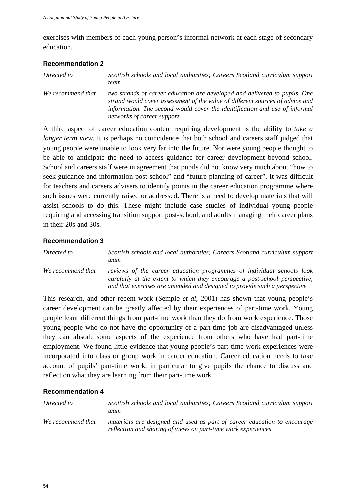exercises with members of each young person's informal network at each stage of secondary education.

#### **Recommendation 2**

| Directed to       | Scottish schools and local authorities; Careers Scotland curriculum support<br>team                                                                                                                                                                                      |
|-------------------|--------------------------------------------------------------------------------------------------------------------------------------------------------------------------------------------------------------------------------------------------------------------------|
| We recommend that | two strands of career education are developed and delivered to pupils. One<br>strand would cover assessment of the value of different sources of advice and<br>information. The second would cover the identification and use of informal<br>networks of career support. |

A third aspect of career education content requiring development is the ability to *take a longer term view*. It is perhaps no coincidence that both school and careers staff judged that young people were unable to look very far into the future. Nor were young people thought to be able to anticipate the need to access guidance for career development beyond school. School and careers staff were in agreement that pupils did not know very much about "how to seek guidance and information post-school" and "future planning of career". It was difficult for teachers and careers advisers to identify points in the career education programme where such issues were currently raised or addressed. There is a need to develop materials that will assist schools to do this. These might include case studies of individual young people requiring and accessing transition support post-school, and adults managing their career plans in their 20s and 30s.

#### **Recommendation 3**

| Directed to       | Scottish schools and local authorities; Careers Scotland curriculum support<br>team                                                                                                                                              |
|-------------------|----------------------------------------------------------------------------------------------------------------------------------------------------------------------------------------------------------------------------------|
| We recommend that | reviews of the career education programmes of individual schools look<br>carefully at the extent to which they encourage a post-school perspective,<br>and that exercises are amended and designed to provide such a perspective |

This research, and other recent work (Semple *et al*, 2001) has shown that young people's career development can be greatly affected by their experiences of part-time work. Young people learn different things from part-time work than they do from work experience. Those young people who do not have the opportunity of a part-time job are disadvantaged unless they can absorb some aspects of the experience from others who have had part-time employment. We found little evidence that young people's part-time work experiences were incorporated into class or group work in career education. Career education needs to take account of pupils' part-time work, in particular to give pupils the chance to discuss and reflect on what they are learning from their part-time work.

#### **Recommendation 4**

*Directed to Scottish schools and local authorities; Careers Scotland curriculum support team We recommend that materials are designed and used as part of career education to encourage reflection and sharing of views on part-time work experiences*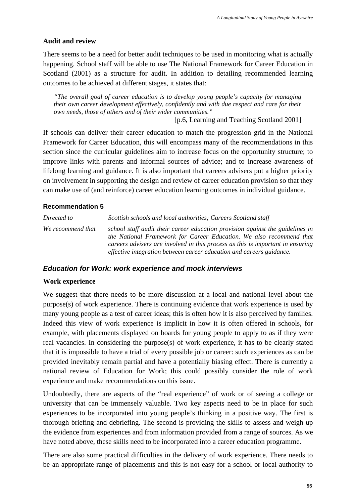#### **Audit and review**

There seems to be a need for better audit techniques to be used in monitoring what is actually happening. School staff will be able to use The National Framework for Career Education in Scotland (2001) as a structure for audit. In addition to detailing recommended learning outcomes to be achieved at different stages, it states that:

*"The overall goal of career education is to develop young people's capacity for managing their own career development effectively, confidently and with due respect and care for their own needs, those of others and of their wider communities."* 

[p.6, Learning and Teaching Scotland 2001]

If schools can deliver their career education to match the progression grid in the National Framework for Career Education, this will encompass many of the recommendations in this section since the curricular guidelines aim to increase focus on the opportunity structure; to improve links with parents and informal sources of advice; and to increase awareness of lifelong learning and guidance. It is also important that careers advisers put a higher priority on involvement in supporting the design and review of career education provision so that they can make use of (and reinforce) career education learning outcomes in individual guidance.

#### **Recommendation 5**

*Directed to Scottish schools and local authorities; Careers Scotland staff We recommend that school staff audit their career education provision against the guidelines in the National Framework for Career Education. We also recommend that careers advisers are involved in this process as this is important in ensuring effective integration between career education and careers guidance.* 

#### *Education for Work: work experience and mock interviews*

#### **Work experience**

We suggest that there needs to be more discussion at a local and national level about the purpose(s) of work experience. There is continuing evidence that work experience is used by many young people as a test of career ideas; this is often how it is also perceived by families. Indeed this view of work experience is implicit in how it is often offered in schools, for example, with placements displayed on boards for young people to apply to as if they were real vacancies. In considering the purpose(s) of work experience, it has to be clearly stated that it is impossible to have a trial of every possible job or career: such experiences as can be provided inevitably remain partial and have a potentially biasing effect. There is currently a national review of Education for Work; this could possibly consider the role of work experience and make recommendations on this issue.

Undoubtedly, there are aspects of the "real experience" of work or of seeing a college or university that can be immensely valuable. Two key aspects need to be in place for such experiences to be incorporated into young people's thinking in a positive way. The first is thorough briefing and debriefing. The second is providing the skills to assess and weigh up the evidence from experiences and from information provided from a range of sources. As we have noted above, these skills need to be incorporated into a career education programme.

There are also some practical difficulties in the delivery of work experience. There needs to be an appropriate range of placements and this is not easy for a school or local authority to

**55**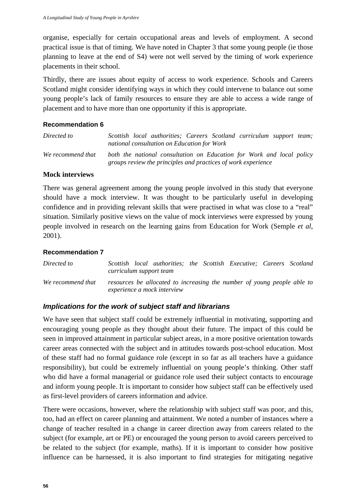organise, especially for certain occupational areas and levels of employment. A second practical issue is that of timing. We have noted in Chapter 3 that some young people (ie those planning to leave at the end of S4) were not well served by the timing of work experience placements in their school.

Thirdly, there are issues about equity of access to work experience. Schools and Careers Scotland might consider identifying ways in which they could intervene to balance out some young people's lack of family resources to ensure they are able to access a wide range of placement and to have more than one opportunity if this is appropriate.

## **Recommendation 6**

| Directed to       | Scottish local authorities; Careers Scotland curriculum support team;<br>national consultation on Education for Work                   |
|-------------------|----------------------------------------------------------------------------------------------------------------------------------------|
| We recommend that | both the national consultation on Education for Work and local policy<br>groups review the principles and practices of work experience |

#### **Mock interviews**

There was general agreement among the young people involved in this study that everyone should have a mock interview. It was thought to be particularly useful in developing confidence and in providing relevant skills that were practised in what was close to a "real" situation. Similarly positive views on the value of mock interviews were expressed by young people involved in research on the learning gains from Education for Work (Semple *et al*, 2001).

#### **Recommendation 7**

| Directed to       | curriculum support team | Scottish local authorities; the Scottish Executive; Careers Scotland                                   |  |  |  |
|-------------------|-------------------------|--------------------------------------------------------------------------------------------------------|--|--|--|
| We recommend that |                         | resources be allocated to increasing the number of young people able to<br>experience a mock interview |  |  |  |

## *Implications for the work of subject staff and librarians*

We have seen that subject staff could be extremely influential in motivating, supporting and encouraging young people as they thought about their future. The impact of this could be seen in improved attainment in particular subject areas, in a more positive orientation towards career areas connected with the subject and in attitudes towards post-school education. Most of these staff had no formal guidance role (except in so far as all teachers have a guidance responsibility), but could be extremely influential on young people's thinking. Other staff who did have a formal managerial or guidance role used their subject contacts to encourage and inform young people. It is important to consider how subject staff can be effectively used as first-level providers of careers information and advice.

There were occasions, however, where the relationship with subject staff was poor, and this, too, had an effect on career planning and attainment. We noted a number of instances where a change of teacher resulted in a change in career direction away from careers related to the subject (for example, art or PE) or encouraged the young person to avoid careers perceived to be related to the subject (for example, maths). If it is important to consider how positive influence can be harnessed, it is also important to find strategies for mitigating negative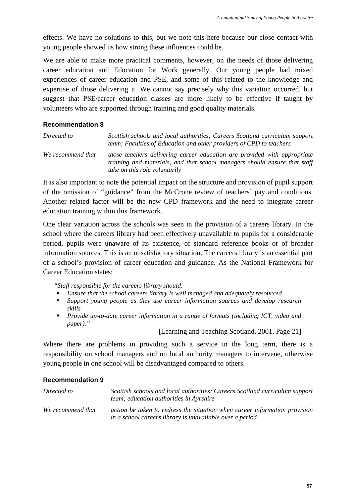effects. We have no solutions to this, but we note this here because our close contact with young people showed us how strong these influences could be.

We are able to make more practical comments, however, on the needs of those delivering career education and Education for Work generally. Our young people had mixed experiences of career education and PSE, and some of this related to the knowledge and expertise of those delivering it. We cannot say precisely why this variation occurred, but suggest that PSE/career education classes are more likely to be effective if taught by volunteers who are supported through training and good quality materials.

### **Recommendation 8**

| Directed to       | Scottish schools and local authorities; Careers Scotland curriculum support<br>team; Faculties of Education and other providers of CPD to teachers                                     |
|-------------------|----------------------------------------------------------------------------------------------------------------------------------------------------------------------------------------|
| We recommend that | those teachers delivering career education are provided with appropriate<br>training and materials, and that school managers should ensure that staff<br>take on this role voluntarily |

It is also important to note the potential impact on the structure and provision of pupil support of the omission of "guidance" from the McCrone review of teachers' pay and conditions. Another related factor will be the new CPD framework and the need to integrate career education training within this framework.

One clear variation across the schools was seen in the provision of a careers library. In the school where the careers library had been effectively unavailable to pupils for a considerable period, pupils were unaware of its existence, of standard reference books or of broader information sources. This is an unsatisfactory situation. The careers library is an essential part of a school's provision of career education and guidance. As the National Framework for Career Education states:

*"Staff responsible for the careers library should:* 

- *Ensure that the school careers library is well managed and adequately resourced*
- *Support young people as they use career information sources and develop research skills*
- *Provide up-to-date career information in a range of formats (including ICT, video and paper)."*

[Learning and Teaching Scotland, 2001, Page 21]

Where there are problems in providing such a service in the long term, there is a responsibility on school managers and on local authority managers to intervene, otherwise young people in one school will be disadvantaged compared to others.

#### **Recommendation 9**

| Directed to       | Scottish schools and local authorities; Careers Scotland curriculum support<br><i>team; education authorities in Ayrshire</i>          |
|-------------------|----------------------------------------------------------------------------------------------------------------------------------------|
| We recommend that | action be taken to redress the situation when career information provision<br>in a school careers library is unavailable over a period |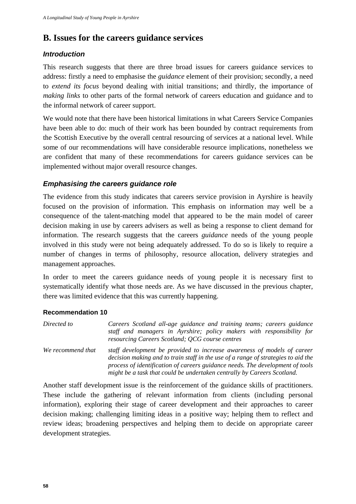# **B. Issues for the careers guidance services**

## *Introduction*

This research suggests that there are three broad issues for careers guidance services to address: firstly a need to emphasise the *guidance* element of their provision; secondly, a need to *extend its focus* beyond dealing with initial transitions; and thirdly, the importance of *making links* to other parts of the formal network of careers education and guidance and to the informal network of career support.

We would note that there have been historical limitations in what Careers Service Companies have been able to do: much of their work has been bounded by contract requirements from the Scottish Executive by the overall central resourcing of services at a national level. While some of our recommendations will have considerable resource implications, nonetheless we are confident that many of these recommendations for careers guidance services can be implemented without major overall resource changes.

# *Emphasising the careers guidance role*

The evidence from this study indicates that careers service provision in Ayrshire is heavily focused on the provision of information. This emphasis on information may well be a consequence of the talent-matching model that appeared to be the main model of career decision making in use by careers advisers as well as being a response to client demand for information. The research suggests that the careers *guidance* needs of the young people involved in this study were not being adequately addressed. To do so is likely to require a number of changes in terms of philosophy, resource allocation, delivery strategies and management approaches.

In order to meet the careers guidance needs of young people it is necessary first to systematically identify what those needs are. As we have discussed in the previous chapter, there was limited evidence that this was currently happening.

#### **Recommendation 10**

| Directed to       | Careers Scotland all-age guidance and training teams; careers guidance<br>staff and managers in Ayrshire; policy makers with responsibility for<br>resourcing Careers Scotland; QCG course centres                                                                                                                       |
|-------------------|--------------------------------------------------------------------------------------------------------------------------------------------------------------------------------------------------------------------------------------------------------------------------------------------------------------------------|
| We recommend that | staff development be provided to increase awareness of models of career<br>decision making and to train staff in the use of a range of strategies to aid the<br>process of identification of careers guidance needs. The development of tools<br>might be a task that could be undertaken centrally by Careers Scotland. |

Another staff development issue is the reinforcement of the guidance skills of practitioners. These include the gathering of relevant information from clients (including personal information), exploring their stage of career development and their approaches to career decision making; challenging limiting ideas in a positive way; helping them to reflect and review ideas; broadening perspectives and helping them to decide on appropriate career development strategies.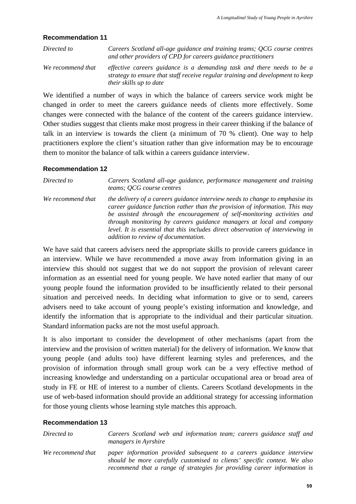#### **Recommendation 11**

*Directed to Careers Scotland all-age guidance and training teams; QCG course centres and other providers of CPD for careers guidance practitioners We recommend that effective careers guidance is a demanding task and there needs to be a strategy to ensure that staff receive regular training and development to keep their skills up to date* 

We identified a number of ways in which the balance of careers service work might be changed in order to meet the careers guidance needs of clients more effectively. Some changes were connected with the balance of the content of the careers guidance interview. Other studies suggest that clients make most progress in their career thinking if the balance of talk in an interview is towards the client (a minimum of 70 % client). One way to help practitioners explore the client's situation rather than give information may be to encourage them to monitor the balance of talk within a careers guidance interview.

#### **Recommendation 12**

*Directed to Careers Scotland all-age guidance, performance management and training teams; QCG course centres We recommend that the delivery of a careers guidance interview needs to change to emphasise its career guidance function rather than the provision of information. This may be assisted through the encouragement of self-monitoring activities and through monitoring by careers guidance managers at local and company*  level. It is essential that this includes direct observation of interviewing in *addition to review of documentation.* 

We have said that careers advisers need the appropriate skills to provide careers guidance in an interview. While we have recommended a move away from information giving in an interview this should not suggest that we do not support the provision of relevant career information as an essential need for young people. We have noted earlier that many of our young people found the information provided to be insufficiently related to their personal situation and perceived needs. In deciding what information to give or to send, careers advisers need to take account of young people's existing information and knowledge, and identify the information that is appropriate to the individual and their particular situation. Standard information packs are not the most useful approach.

It is also important to consider the development of other mechanisms (apart from the interview and the provision of written material) for the delivery of information. We know that young people (and adults too) have different learning styles and preferences, and the provision of information through small group work can be a very effective method of increasing knowledge and understanding on a particular occupational area or broad area of study in FE or HE of interest to a number of clients. Careers Scotland developments in the use of web-based information should provide an additional strategy for accessing information for those young clients whose learning style matches this approach.

#### **Recommendation 13**

| Directed to       | Careers Scotland web and information team; careers guidance staff and<br><i>managers in Ayrshire</i>                                                                                                                           |
|-------------------|--------------------------------------------------------------------------------------------------------------------------------------------------------------------------------------------------------------------------------|
| We recommend that | paper information provided subsequent to a careers guidance interview<br>should be more carefully customised to clients' specific context. We also<br>recommend that a range of strategies for providing career information is |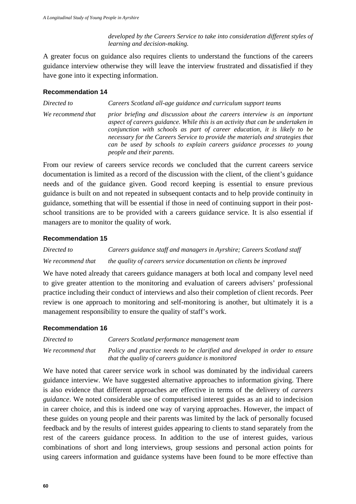*developed by the Careers Service to take into consideration different styles of learning and decision-making.* 

A greater focus on guidance also requires clients to understand the functions of the careers guidance interview otherwise they will leave the interview frustrated and dissatisfied if they have gone into it expecting information.

#### **Recommendation 14**

*Directed to Careers Scotland all-age guidance and curriculum support teams We recommend that prior briefing and discussion about the careers interview is an important aspect of careers guidance. While this is an activity that can be undertaken in conjunction with schools as part of career education, it is likely to be necessary for the Careers Service to provide the materials and strategies that can be used by schools to explain careers guidance processes to young people and their parents.* 

From our review of careers service records we concluded that the current careers service documentation is limited as a record of the discussion with the client, of the client's guidance needs and of the guidance given. Good record keeping is essential to ensure previous guidance is built on and not repeated in subsequent contacts and to help provide continuity in guidance, something that will be essential if those in need of continuing support in their postschool transitions are to be provided with a careers guidance service. It is also essential if managers are to monitor the quality of work.

#### **Recommendation 15**

*Directed to Careers guidance staff and managers in Ayrshire; Careers Scotland staff We recommend that the quality of careers service documentation on clients be improved* 

We have noted already that careers guidance managers at both local and company level need to give greater attention to the monitoring and evaluation of careers advisers' professional practice including their conduct of interviews and also their completion of client records. Peer review is one approach to monitoring and self-monitoring is another, but ultimately it is a management responsibility to ensure the quality of staff's work.

#### **Recommendation 16**

*Directed to Careers Scotland performance management team We recommend that Policy and practice needs to be clarified and developed in order to ensure that the quality of careers guidance is monitored* 

We have noted that career service work in school was dominated by the individual careers guidance interview. We have suggested alternative approaches to information giving. There is also evidence that different approaches are effective in terms of the delivery of *careers guidance*. We noted considerable use of computerised interest guides as an aid to indecision in career choice, and this is indeed one way of varying approaches. However, the impact of these guides on young people and their parents was limited by the lack of personally focused feedback and by the results of interest guides appearing to clients to stand separately from the rest of the careers guidance process. In addition to the use of interest guides, various combinations of short and long interviews, group sessions and personal action points for using careers information and guidance systems have been found to be more effective than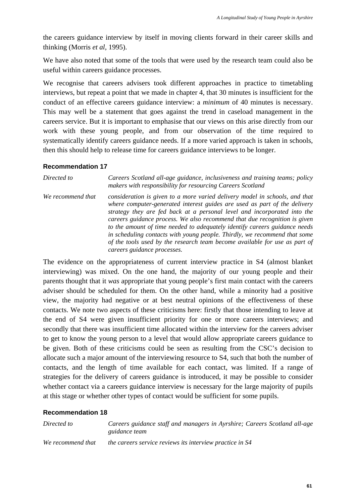the careers guidance interview by itself in moving clients forward in their career skills and thinking (Morris *et al*, 1995).

We have also noted that some of the tools that were used by the research team could also be useful within careers guidance processes.

We recognise that careers advisers took different approaches in practice to timetabling interviews, but repeat a point that we made in chapter 4, that 30 minutes is insufficient for the conduct of an effective careers guidance interview: a *minimum* of 40 minutes is necessary. This may well be a statement that goes against the trend in caseload management in the careers service. But it is important to emphasise that our views on this arise directly from our work with these young people, and from our observation of the time required to systematically identify careers guidance needs. If a more varied approach is taken in schools, then this should help to release time for careers guidance interviews to be longer.

#### **Recommendation 17**

*Directed to Careers Scotland all-age guidance, inclusiveness and training teams; policy makers with responsibility for resourcing Careers Scotland We recommend that consideration is given to a more varied delivery model in schools, and that where computer-generated interest guides are used as part of the delivery strategy they are fed back at a personal level and incorporated into the careers guidance process. We also recommend that due recognition is given to the amount of time needed to adequately identify careers guidance needs in scheduling contacts with young people. Thirdly, we recommend that some of the tools used by the research team become available for use as part of careers guidance processes.* 

The evidence on the appropriateness of current interview practice in S4 (almost blanket interviewing) was mixed. On the one hand, the majority of our young people and their parents thought that it *was* appropriate that young people's first main contact with the careers adviser should be scheduled for them. On the other hand, while a minority had a positive view, the majority had negative or at best neutral opinions of the effectiveness of these contacts. We note two aspects of these criticisms here: firstly that those intending to leave at the end of S4 were given insufficient priority for one or more careers interviews; and secondly that there was insufficient time allocated within the interview for the careers adviser to get to know the young person to a level that would allow appropriate careers guidance to be given. Both of these criticisms could be seen as resulting from the CSC's decision to allocate such a major amount of the interviewing resource to S4, such that both the number of contacts, and the length of time available for each contact, was limited. If a range of strategies for the delivery of careers guidance is introduced, it may be possible to consider whether contact via a careers guidance interview is necessary for the large majority of pupils at this stage or whether other types of contact would be sufficient for some pupils.

#### **Recommendation 18**

| Directed to       | Careers guidance staff and managers in Ayrshire; Careers Scotland all-age<br>guidance team |
|-------------------|--------------------------------------------------------------------------------------------|
| We recommend that | the careers service reviews its interview practice in S4                                   |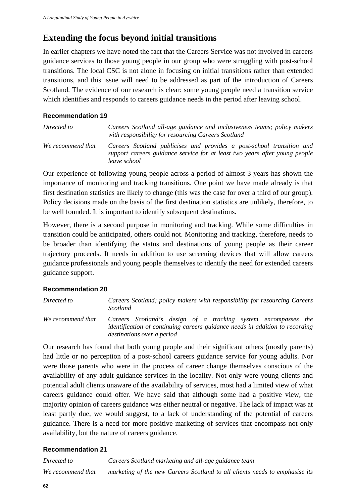# **Extending the focus beyond initial transitions**

In earlier chapters we have noted the fact that the Careers Service was not involved in careers guidance services to those young people in our group who were struggling with post-school transitions. The local CSC is not alone in focusing on initial transitions rather than extended transitions, and this issue will need to be addressed as part of the introduction of Careers Scotland. The evidence of our research is clear: some young people need a transition service which identifies and responds to careers guidance needs in the period after leaving school.

# **Recommendation 19**

*Directed to Careers Scotland all-age guidance and inclusiveness teams; policy makers with responsibility for resourcing Careers Scotland* 

*We recommend that Careers Scotland publicises and provides a post-school transition and support careers guidance service for at least two years after young people leave school* 

Our experience of following young people across a period of almost 3 years has shown the importance of monitoring and tracking transitions. One point we have made already is that first destination statistics are likely to change (this was the case for over a third of our group). Policy decisions made on the basis of the first destination statistics are unlikely, therefore, to be well founded. It is important to identify subsequent destinations.

However, there is a second purpose in monitoring and tracking. While some difficulties in transition could be anticipated, others could not. Monitoring and tracking, therefore, needs to be broader than identifying the status and destinations of young people as their career trajectory proceeds. It needs in addition to use screening devices that will allow careers guidance professionals and young people themselves to identify the need for extended careers guidance support.

## **Recommendation 20**

*Directed to Careers Scotland; policy makers with responsibility for resourcing Careers Scotland We recommend that Careers Scotland's design of a tracking system encompasses the identification of continuing careers guidance needs in addition to recording destinations over a period* 

Our research has found that both young people and their significant others (mostly parents) had little or no perception of a post-school careers guidance service for young adults. Nor were those parents who were in the process of career change themselves conscious of the availability of any adult guidance services in the locality. Not only were young clients and potential adult clients unaware of the availability of services, most had a limited view of what careers guidance could offer. We have said that although some had a positive view, the majority opinion of careers guidance was either neutral or negative. The lack of impact was at least partly due, we would suggest, to a lack of understanding of the potential of careers guidance. There is a need for more positive marketing of services that encompass not only availability, but the nature of careers guidance.

## **Recommendation 21**

*Directed to Careers Scotland marketing and all-age guidance team We recommend that marketing of the new Careers Scotland to all clients needs to emphasise its*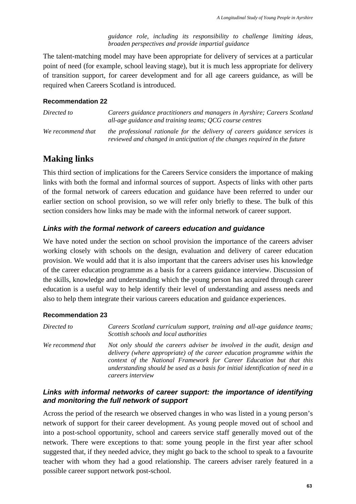*guidance role, including its responsibility to challenge limiting ideas, broaden perspectives and provide impartial guidance* 

The talent-matching model may have been appropriate for delivery of services at a particular point of need (for example, school leaving stage), but it is much less appropriate for delivery of transition support, for career development and for all age careers guidance, as will be required when Careers Scotland is introduced.

#### **Recommendation 22**

| Directed to       | Careers guidance practitioners and managers in Ayrshire; Careers Scotland<br>all-age guidance and training teams; OCG course centres                      |
|-------------------|-----------------------------------------------------------------------------------------------------------------------------------------------------------|
| We recommend that | the professional rationale for the delivery of careers guidance services is<br>reviewed and changed in anticipation of the changes required in the future |

# **Making links**

This third section of implications for the Careers Service considers the importance of making links with both the formal and informal sources of support. Aspects of links with other parts of the formal network of careers education and guidance have been referred to under our earlier section on school provision, so we will refer only briefly to these. The bulk of this section considers how links may be made with the informal network of career support.

## *Links with the formal network of careers education and guidance*

We have noted under the section on school provision the importance of the careers adviser working closely with schools on the design, evaluation and delivery of career education provision. We would add that it is also important that the careers adviser uses his knowledge of the career education programme as a basis for a careers guidance interview. Discussion of the skills, knowledge and understanding which the young person has acquired through career education is a useful way to help identify their level of understanding and assess needs and also to help them integrate their various careers education and guidance experiences.

#### **Recommendation 23**

| Directed to       | Careers Scotland curriculum support, training and all-age guidance teams;<br>Scottish schools and local authorities                                                                                                                                                                                                                   |
|-------------------|---------------------------------------------------------------------------------------------------------------------------------------------------------------------------------------------------------------------------------------------------------------------------------------------------------------------------------------|
| We recommend that | Not only should the careers adviser be involved in the audit, design and<br>delivery (where appropriate) of the career education programme within the<br>context of the National Framework for Career Education but that this<br>understanding should be used as a basis for initial identification of need in a<br>careers interview |

#### *Links with informal networks of career support: the importance of identifying and monitoring the full network of support*

Across the period of the research we observed changes in who was listed in a young person's network of support for their career development. As young people moved out of school and into a post-school opportunity, school and careers service staff generally moved out of the network. There were exceptions to that: some young people in the first year after school suggested that, if they needed advice, they might go back to the school to speak to a favourite teacher with whom they had a good relationship. The careers adviser rarely featured in a possible career support network post-school.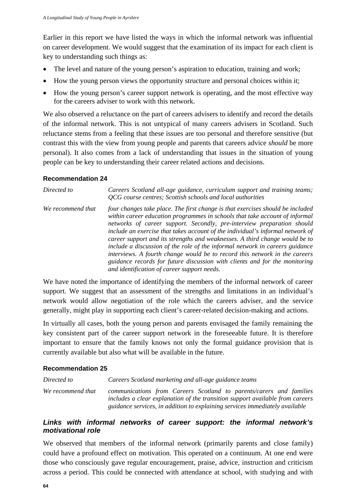Earlier in this report we have listed the ways in which the informal network was influential on career development. We would suggest that the examination of its impact for each client is key to understanding such things as:

- The level and nature of the young person's aspiration to education, training and work;
- How the young person views the opportunity structure and personal choices within it;
- How the young person's career support network is operating, and the most effective way for the careers adviser to work with this network.

We also observed a reluctance on the part of careers advisers to identify and record the details of the informal network. This is not untypical of many careers advisers in Scotland. Such reluctance stems from a feeling that these issues are too personal and therefore sensitive (but contrast this with the view from young people and parents that careers advice *should* be more personal). It also comes from a lack of understanding that issues in the situation of young people can be key to understanding their career related actions and decisions.

#### **Recommendation 24**

*Directed to Careers Scotland all-age guidance, curriculum support and training teams; QCG course centres; Scottish schools and local authorities We recommend that four changes take place. The first change is that exercises should be included within career education programmes in schools that take account of informal networks of career support. Secondly, pre-interview preparation should*  include an exercise that takes account of the individual's informal network of *career support and its strengths and weaknesses. A third change would be to include a discussion of the role of the informal network in careers guidance interviews. A fourth change would be to record this network in the careers guidance records for future discussion with clients and for the monitoring* 

We have noted the importance of identifying the members of the informal network of career support. We suggest that an assessment of the strengths and limitations in an individual's network would allow negotiation of the role which the careers adviser, and the service generally, might play in supporting each client's career-related decision-making and actions.

*and identification of career support needs.* 

In virtually all cases, both the young person and parents envisaged the family remaining the key consistent part of the career support network in the foreseeable future. It is therefore important to ensure that the family knows not only the formal guidance provision that is currently available but also what will be available in the future.

## **Recommendation 25**

*Directed to Careers Scotland marketing and all-age guidance teams We recommend that communications from Careers Scotland to parents/carers and families includes a clear explanation of the transition support available from careers guidance services, in addition to explaining services immediately available* 

# *Links with informal networks of career support: the informal network's motivational role*

We observed that members of the informal network (primarily parents and close family) could have a profound effect on motivation. This operated on a continuum. At one end were those who consciously gave regular encouragement, praise, advice, instruction and criticism across a period. This could be connected with attendance at school, with studying and with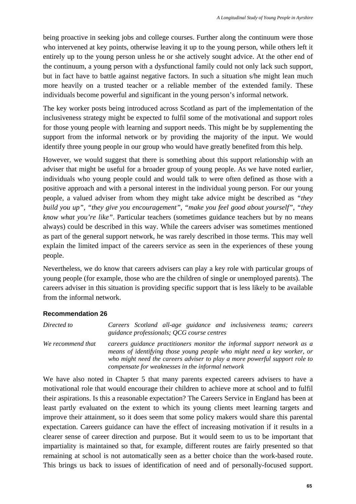being proactive in seeking jobs and college courses. Further along the continuum were those who intervened at key points, otherwise leaving it up to the young person, while others left it entirely up to the young person unless he or she actively sought advice. At the other end of the continuum, a young person with a dysfunctional family could not only lack such support, but in fact have to battle against negative factors. In such a situation s/he might lean much more heavily on a trusted teacher or a reliable member of the extended family. These individuals become powerful and significant in the young person's informal network.

The key worker posts being introduced across Scotland as part of the implementation of the inclusiveness strategy might be expected to fulfil some of the motivational and support roles for those young people with learning and support needs. This might be by supplementing the support from the informal network or by providing the majority of the input. We would identify three young people in our group who would have greatly benefited from this help.

However, we would suggest that there is something about this support relationship with an adviser that might be useful for a broader group of young people. As we have noted earlier, individuals who young people could and would talk to were often defined as those with a positive approach and with a personal interest in the individual young person. For our young people, a valued adviser from whom they might take advice might be described as *"they build you up"*, *"they give you encouragement"*, *"make you feel good about yourself"*, *"they know what you're like"*. Particular teachers (sometimes guidance teachers but by no means always) could be described in this way. While the careers adviser was sometimes mentioned as part of the general support network, he was rarely described in those terms. This may well explain the limited impact of the careers service as seen in the experiences of these young people.

Nevertheless, we do know that careers advisers can play a key role with particular groups of young people (for example, those who are the children of single or unemployed parents). The careers adviser in this situation is providing specific support that is less likely to be available from the informal network.

#### **Recommendation 26**

| Directed to       | Careers Scotland all-age guidance and inclusiveness teams; careers<br>guidance professionals; QCG course centres                                                                                                                                                                       |
|-------------------|----------------------------------------------------------------------------------------------------------------------------------------------------------------------------------------------------------------------------------------------------------------------------------------|
| We recommend that | careers guidance practitioners monitor the informal support network as a<br>means of identifying those young people who might need a key worker, or<br>who might need the careers adviser to play a more powerful support role to<br>compensate for weaknesses in the informal network |

We have also noted in Chapter 5 that many parents expected careers advisers to have a motivational role that would encourage their children to achieve more at school and to fulfil their aspirations. Is this a reasonable expectation? The Careers Service in England has been at least partly evaluated on the extent to which its young clients meet learning targets and improve their attainment, so it does seem that some policy makers would share this parental expectation. Careers guidance can have the effect of increasing motivation if it results in a clearer sense of career direction and purpose. But it would seem to us to be important that impartiality is maintained so that, for example, different routes are fairly presented so that remaining at school is not automatically seen as a better choice than the work-based route. This brings us back to issues of identification of need and of personally-focused support.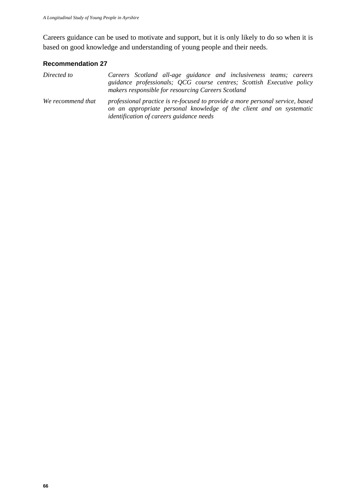Careers guidance can be used to motivate and support, but it is only likely to do so when it is based on good knowledge and understanding of young people and their needs.

# **Recommendation 27**

| Directed to       | Careers Scotland all-age guidance and inclusiveness teams; careers<br>guidance professionals; QCG course centres; Scottish Executive policy<br>makers responsible for resourcing Careers Scotland        |
|-------------------|----------------------------------------------------------------------------------------------------------------------------------------------------------------------------------------------------------|
| We recommend that | professional practice is re-focused to provide a more personal service, based<br>on an appropriate personal knowledge of the client and on systematic<br><i>identification of careers guidance needs</i> |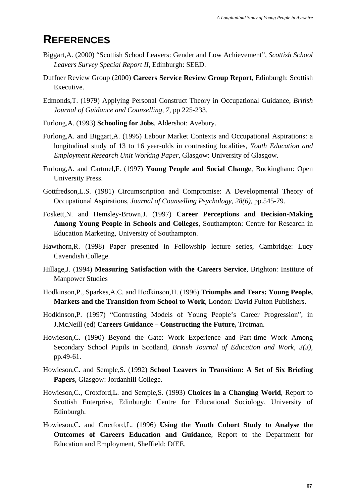## **REFERENCES**

- Biggart,A. (2000) "Scottish School Leavers: Gender and Low Achievement", *Scottish School Leavers Survey Special Report II*, Edinburgh: SEED.
- Duffner Review Group (2000) **Careers Service Review Group Report**, Edinburgh: Scottish Executive.
- Edmonds,T. (1979) Applying Personal Construct Theory in Occupational Guidance, *British Journal of Guidance and Counselling, 7*, pp 225-233.
- Furlong,A. (1993) **Schooling for Jobs**, Aldershot: Avebury.
- Furlong,A. and Biggart,A. (1995) Labour Market Contexts and Occupational Aspirations: a longitudinal study of 13 to 16 year-olds in contrasting localities, *Youth Education and Employment Research Unit Working Paper,* Glasgow: University of Glasgow.
- Furlong,A. and Cartmel,F. (1997) **Young People and Social Change**, Buckingham: Open University Press.
- Gottfredson,L.S. (1981) Circumscription and Compromise: A Developmental Theory of Occupational Aspirations, *Journal of Counselling Psychology, 28(6),* pp.545-79.
- Foskett,N. and Hemsley-Brown,J. (1997) **Career Perceptions and Decision-Making Among Young People in Schools and Colleges**, Southampton: Centre for Research in Education Marketing, University of Southampton.
- Hawthorn,R. (1998) Paper presented in Fellowship lecture series, Cambridge: Lucy Cavendish College.
- Hillage,J. (1994) **Measuring Satisfaction with the Careers Service**, Brighton: Institute of Manpower Studies
- Hodkinson,P., Sparkes,A.C. and Hodkinson,H. (1996) **Triumphs and Tears: Young People, Markets and the Transition from School to Work**, London: David Fulton Publishers.
- Hodkinson,P. (1997) "Contrasting Models of Young People's Career Progression", in J.McNeill (ed) **Careers Guidance – Constructing the Future,** Trotman.
- Howieson,C. (1990) Beyond the Gate: Work Experience and Part-time Work Among Secondary School Pupils in Scotland, *British Journal of Education and Work, 3(3)*, pp.49-61.
- Howieson,C. and Semple,S. (1992) **School Leavers in Transition: A Set of Six Briefing Papers**, Glasgow: Jordanhill College.
- Howieson,C., Croxford,L. and Semple,S. (1993) **Choices in a Changing World**, Report to Scottish Enterprise, Edinburgh: Centre for Educational Sociology, University of Edinburgh.
- Howieson,C. and Croxford,L. (1996) **Using the Youth Cohort Study to Analyse the Outcomes of Careers Education and Guidance**, Report to the Department for Education and Employment, Sheffield: DfEE.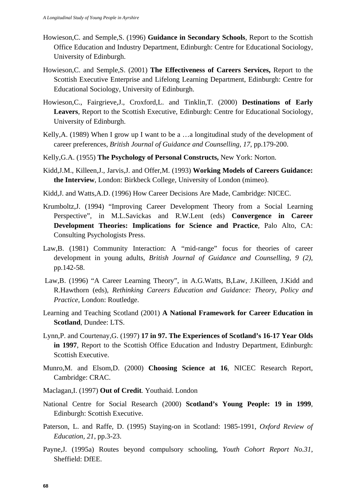- Howieson,C. and Semple,S. (1996) **Guidance in Secondary Schools**, Report to the Scottish Office Education and Industry Department, Edinburgh: Centre for Educational Sociology, University of Edinburgh.
- Howieson,C. and Semple,S. (2001) **The Effectiveness of Careers Services,** Report to the Scottish Executive Enterprise and Lifelong Learning Department, Edinburgh: Centre for Educational Sociology, University of Edinburgh.
- Howieson,C., Fairgrieve,J., Croxford,L. and Tinklin,T. (2000) **Destinations of Early Leavers**, Report to the Scottish Executive, Edinburgh: Centre for Educational Sociology, University of Edinburgh.
- Kelly,A. (1989) When I grow up I want to be a …a longitudinal study of the development of career preferences, *British Journal of Guidance and Counselling, 17*, pp.179-200.
- Kelly,G.A. (1955) **The Psychology of Personal Constructs,** New York: Norton.
- Kidd,J.M., Killeen,J., Jarvis,J. and Offer,M. (1993) **Working Models of Careers Guidance: the Interview**, London: Birkbeck College, University of London (mimeo).
- Kidd,J. and Watts,A.D. (1996) How Career Decisions Are Made, Cambridge: NICEC.
- Krumboltz,J. (1994) "Improving Career Development Theory from a Social Learning Perspective", in M.L.Savickas and R.W.Lent (eds) **Convergence in Career Development Theories: Implications for Science and Practice**, Palo Alto, CA: Consulting Psychologists Press.
- Law,B. (1981) Community Interaction: A "mid-range" focus for theories of career development in young adults, *British Journal of Guidance and Counselling, 9 (2)*, pp.142-58.
- Law,B. (1996) "A Career Learning Theory", in A.G.Watts, B,Law, J.Killeen, J.Kidd and R.Hawthorn (eds), *Rethinking Careers Education and Guidance: Theory, Policy and Practice,* London: Routledge.
- Learning and Teaching Scotland (2001) **A National Framework for Career Education in Scotland**, Dundee: LTS.
- Lynn,P. and Courtenay,G. (1997) **17 in 97. The Experiences of Scotland's 16-17 Year Olds in 1997**, Report to the Scottish Office Education and Industry Department, Edinburgh: Scottish Executive.
- Munro,M. and Elsom,D. (2000) **Choosing Science at 16**, NICEC Research Report, Cambridge: CRAC.
- Maclagan,I. (1997) **Out of Credit***.* Youthaid. London
- National Centre for Social Research (2000) **Scotland's Young People: 19 in 1999**, Edinburgh: Scottish Executive.
- Paterson, L. and Raffe, D. (1995) Staying-on in Scotland: 1985-1991, *Oxford Review of Education, 21*, pp.3-23.
- Payne,J. (1995a) Routes beyond compulsory schooling, *Youth Cohort Report No.31*, Sheffield: DfEE.